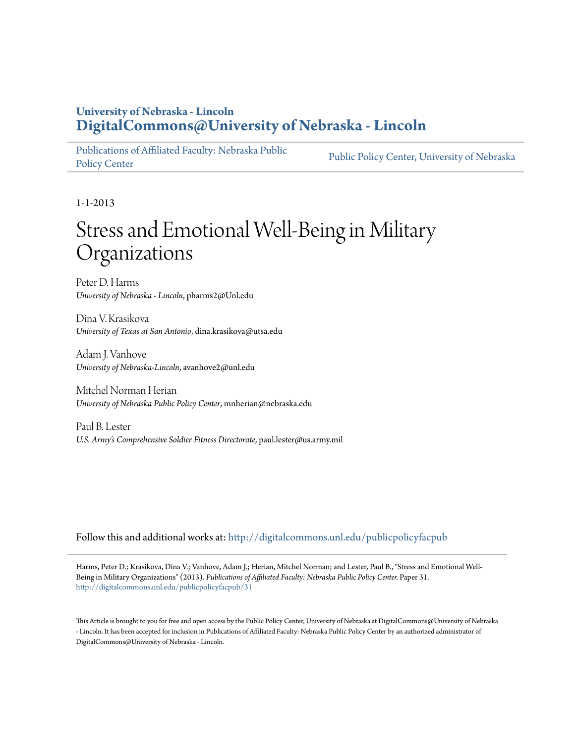# **University of Nebraska - Lincoln [DigitalCommons@University of Nebraska - Lincoln](http://digitalcommons.unl.edu?utm_source=digitalcommons.unl.edu%2Fpublicpolicyfacpub%2F31&utm_medium=PDF&utm_campaign=PDFCoverPages)**

[Publications of Affiliated Faculty: Nebraska Public](http://digitalcommons.unl.edu/publicpolicyfacpub?utm_source=digitalcommons.unl.edu%2Fpublicpolicyfacpub%2F31&utm_medium=PDF&utm_campaign=PDFCoverPages) [Policy Center](http://digitalcommons.unl.edu/publicpolicyfacpub?utm_source=digitalcommons.unl.edu%2Fpublicpolicyfacpub%2F31&utm_medium=PDF&utm_campaign=PDFCoverPages)

[Public Policy Center, University of Nebraska](http://digitalcommons.unl.edu/publicpolicycenter?utm_source=digitalcommons.unl.edu%2Fpublicpolicyfacpub%2F31&utm_medium=PDF&utm_campaign=PDFCoverPages)

1-1-2013

# Stress and Emotional Well-Being in Military Organizations

Peter D. Harms *University of Nebraska - Lincoln*, pharms2@Unl.edu

Dina V. Krasikova *University of Texas at San Antonio*, dina.krasikova@utsa.edu

Adam J. Vanhove *University of Nebraska-Lincoln*, avanhove2@unl.edu

Mitchel Norman Herian *University of Nebraska Public Policy Center*, mnherian@nebraska.edu

Paul B. Lester *U.S. Army's Comprehensive Soldier Fitness Directorate*, paul.lester@us.army.mil

Follow this and additional works at: [http://digitalcommons.unl.edu/publicpolicyfacpub](http://digitalcommons.unl.edu/publicpolicyfacpub?utm_source=digitalcommons.unl.edu%2Fpublicpolicyfacpub%2F31&utm_medium=PDF&utm_campaign=PDFCoverPages)

Harms, Peter D.; Krasikova, Dina V.; Vanhove, Adam J.; Herian, Mitchel Norman; and Lester, Paul B., "Stress and Emotional Well-Being in Military Organizations" (2013). *Publications of Affiliated Faculty: Nebraska Public Policy Center.* Paper 31. [http://digitalcommons.unl.edu/publicpolicyfacpub/31](http://digitalcommons.unl.edu/publicpolicyfacpub/31?utm_source=digitalcommons.unl.edu%2Fpublicpolicyfacpub%2F31&utm_medium=PDF&utm_campaign=PDFCoverPages)

This Article is brought to you for free and open access by the Public Policy Center, University of Nebraska at DigitalCommons@University of Nebraska - Lincoln. It has been accepted for inclusion in Publications of Affiliated Faculty: Nebraska Public Policy Center by an authorized administrator of DigitalCommons@University of Nebraska - Lincoln.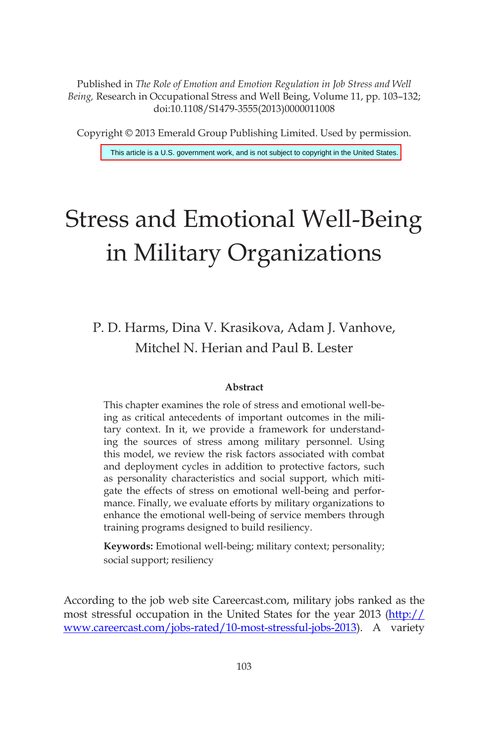Published in *The Role of Emotion and Emotion Regulation in Job Stress and Well Being,* Research in Occupational Stress and Well Being, Volume 11, pp. 103–132; doi:10.1108/S1479-3555(2013)0000011008

Copyright © 2013 Emerald Group Publishing Limited. Used by permission.

This article is a U.S. government work, and is not subject to copyright in the United States.

# Stress and Emotional Well-Being in Military Organizations

# P. D. Harms, Dina V. Krasikova, Adam J. Vanhove, Mitchel N. Herian and Paul B. Lester

#### **Abstract**

This chapter examines the role of stress and emotional well-being as critical antecedents of important outcomes in the military context. In it, we provide a framework for understanding the sources of stress among military personnel. Using this model, we review the risk factors associated with combat and deployment cycles in addition to protective factors, such as personality characteristics and social support, which mitigate the effects of stress on emotional well-being and performance. Finally, we evaluate efforts by military organizations to enhance the emotional well-being of service members through training programs designed to build resiliency.

**Keywords:** Emotional well-being; military context; personality; social support; resiliency

According to the job web site Careercast.com, military jobs ranked as the most stressful occupation in the United States for the year 2013 (http:// www.careercast.com/jobs-rated/10-most-stressful-jobs-2013). A variety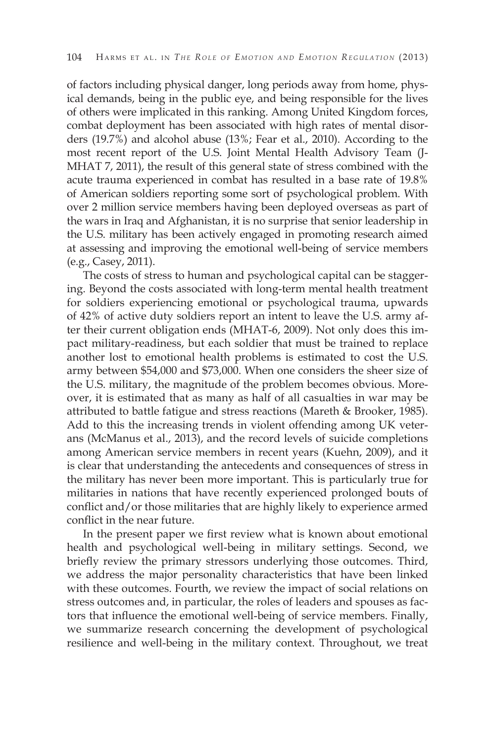of factors including physical danger, long periods away from home, physical demands, being in the public eye, and being responsible for the lives of others were implicated in this ranking. Among United Kingdom forces, combat deployment has been associated with high rates of mental disorders (19.7%) and alcohol abuse (13%; Fear et al., 2010). According to the most recent report of the U.S. Joint Mental Health Advisory Team (J-MHAT 7, 2011), the result of this general state of stress combined with the acute trauma experienced in combat has resulted in a base rate of 19.8% of American soldiers reporting some sort of psychological problem. With over 2 million service members having been deployed overseas as part of the wars in Iraq and Afghanistan, it is no surprise that senior leadership in the U.S. military has been actively engaged in promoting research aimed at assessing and improving the emotional well-being of service members (e.g., Casey, 2011).

The costs of stress to human and psychological capital can be staggering. Beyond the costs associated with long-term mental health treatment for soldiers experiencing emotional or psychological trauma, upwards of 42% of active duty soldiers report an intent to leave the U.S. army after their current obligation ends (MHAT-6, 2009). Not only does this impact military-readiness, but each soldier that must be trained to replace another lost to emotional health problems is estimated to cost the U.S. army between \$54,000 and \$73,000. When one considers the sheer size of the U.S. military, the magnitude of the problem becomes obvious. Moreover, it is estimated that as many as half of all casualties in war may be attributed to battle fatigue and stress reactions (Mareth & Brooker, 1985). Add to this the increasing trends in violent offending among UK veterans (McManus et al., 2013), and the record levels of suicide completions among American service members in recent years (Kuehn, 2009), and it is clear that understanding the antecedents and consequences of stress in the military has never been more important. This is particularly true for militaries in nations that have recently experienced prolonged bouts of conflict and/or those militaries that are highly likely to experience armed conflict in the near future.

In the present paper we first review what is known about emotional health and psychological well-being in military settings. Second, we briefly review the primary stressors underlying those outcomes. Third, we address the major personality characteristics that have been linked with these outcomes. Fourth, we review the impact of social relations on stress outcomes and, in particular, the roles of leaders and spouses as factors that influence the emotional well-being of service members. Finally, we summarize research concerning the development of psychological resilience and well-being in the military context. Throughout, we treat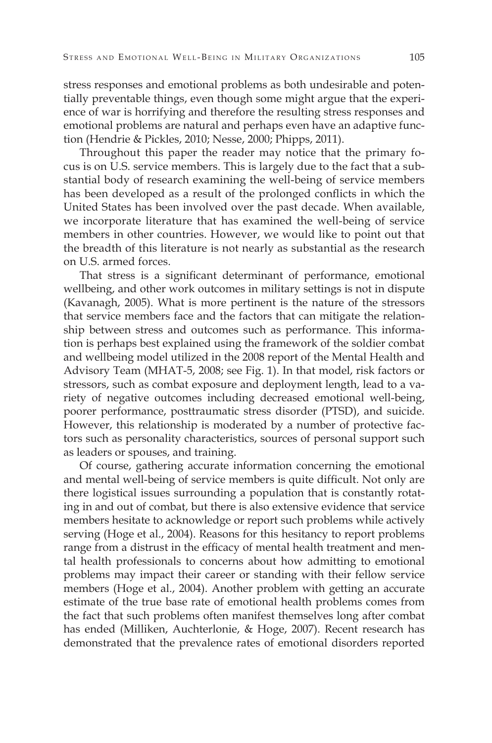stress responses and emotional problems as both undesirable and potentially preventable things, even though some might argue that the experience of war is horrifying and therefore the resulting stress responses and emotional problems are natural and perhaps even have an adaptive function (Hendrie & Pickles, 2010; Nesse, 2000; Phipps, 2011).

Throughout this paper the reader may notice that the primary focus is on U.S. service members. This is largely due to the fact that a substantial body of research examining the well-being of service members has been developed as a result of the prolonged conflicts in which the United States has been involved over the past decade. When available, we incorporate literature that has examined the well-being of service members in other countries. However, we would like to point out that the breadth of this literature is not nearly as substantial as the research on U.S. armed forces.

That stress is a significant determinant of performance, emotional wellbeing, and other work outcomes in military settings is not in dispute (Kavanagh, 2005). What is more pertinent is the nature of the stressors that service members face and the factors that can mitigate the relationship between stress and outcomes such as performance. This information is perhaps best explained using the framework of the soldier combat and wellbeing model utilized in the 2008 report of the Mental Health and Advisory Team (MHAT-5, 2008; see Fig. 1). In that model, risk factors or stressors, such as combat exposure and deployment length, lead to a variety of negative outcomes including decreased emotional well-being, poorer performance, posttraumatic stress disorder (PTSD), and suicide. However, this relationship is moderated by a number of protective factors such as personality characteristics, sources of personal support such as leaders or spouses, and training.

Of course, gathering accurate information concerning the emotional and mental well-being of service members is quite difficult. Not only are there logistical issues surrounding a population that is constantly rotating in and out of combat, but there is also extensive evidence that service members hesitate to acknowledge or report such problems while actively serving (Hoge et al., 2004). Reasons for this hesitancy to report problems range from a distrust in the efficacy of mental health treatment and mental health professionals to concerns about how admitting to emotional problems may impact their career or standing with their fellow service members (Hoge et al., 2004). Another problem with getting an accurate estimate of the true base rate of emotional health problems comes from the fact that such problems often manifest themselves long after combat has ended (Milliken, Auchterlonie, & Hoge, 2007). Recent research has demonstrated that the prevalence rates of emotional disorders reported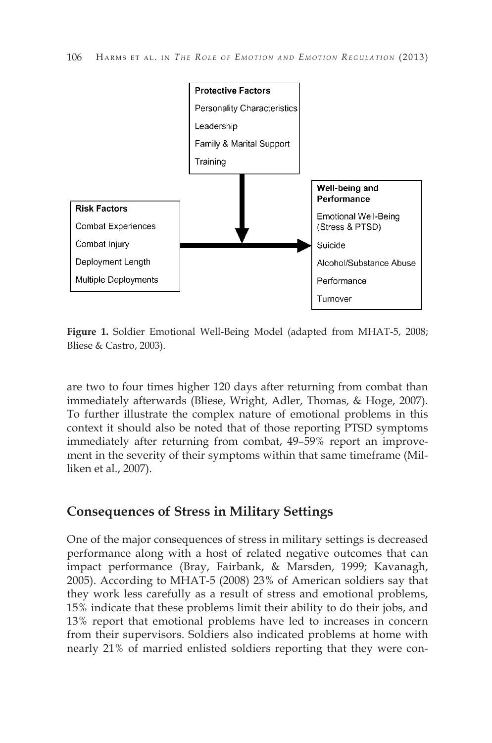

**Figure 1.** Soldier Emotional Well-Being Model (adapted from MHAT-5, 2008; Bliese & Castro, 2003).

are two to four times higher 120 days after returning from combat than immediately afterwards (Bliese, Wright, Adler, Thomas, & Hoge, 2007). To further illustrate the complex nature of emotional problems in this context it should also be noted that of those reporting PTSD symptoms immediately after returning from combat, 49–59% report an improvement in the severity of their symptoms within that same timeframe (Milliken et al., 2007).

# **Consequences of Stress in Military Settings**

One of the major consequences of stress in military settings is decreased performance along with a host of related negative outcomes that can impact performance (Bray, Fairbank, & Marsden, 1999; Kavanagh, 2005). According to MHAT-5 (2008) 23% of American soldiers say that they work less carefully as a result of stress and emotional problems, 15% indicate that these problems limit their ability to do their jobs, and 13% report that emotional problems have led to increases in concern from their supervisors. Soldiers also indicated problems at home with nearly 21% of married enlisted soldiers reporting that they were con-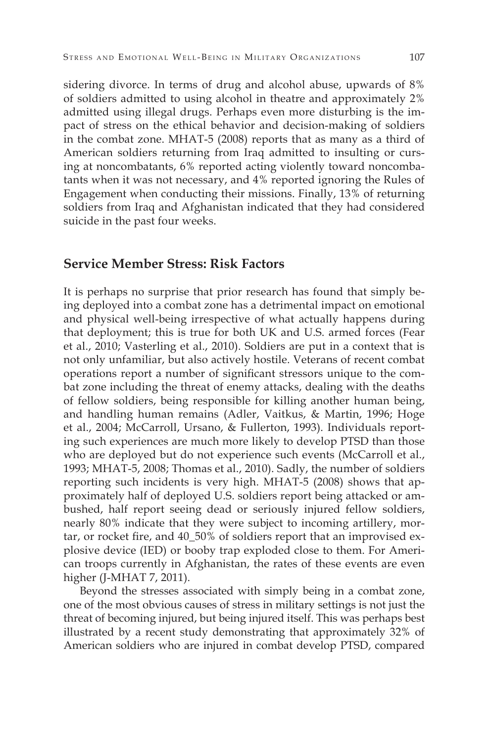sidering divorce. In terms of drug and alcohol abuse, upwards of 8% of soldiers admitted to using alcohol in theatre and approximately 2% admitted using illegal drugs. Perhaps even more disturbing is the impact of stress on the ethical behavior and decision-making of soldiers in the combat zone. MHAT-5 (2008) reports that as many as a third of American soldiers returning from Iraq admitted to insulting or cursing at noncombatants, 6% reported acting violently toward noncombatants when it was not necessary, and 4% reported ignoring the Rules of Engagement when conducting their missions. Finally, 13% of returning soldiers from Iraq and Afghanistan indicated that they had considered suicide in the past four weeks.

## **Service Member Stress: Risk Factors**

It is perhaps no surprise that prior research has found that simply being deployed into a combat zone has a detrimental impact on emotional and physical well-being irrespective of what actually happens during that deployment; this is true for both UK and U.S. armed forces (Fear et al., 2010; Vasterling et al., 2010). Soldiers are put in a context that is not only unfamiliar, but also actively hostile. Veterans of recent combat operations report a number of significant stressors unique to the combat zone including the threat of enemy attacks, dealing with the deaths of fellow soldiers, being responsible for killing another human being, and handling human remains (Adler, Vaitkus, & Martin, 1996; Hoge et al., 2004; McCarroll, Ursano, & Fullerton, 1993). Individuals reporting such experiences are much more likely to develop PTSD than those who are deployed but do not experience such events (McCarroll et al., 1993; MHAT-5, 2008; Thomas et al., 2010). Sadly, the number of soldiers reporting such incidents is very high. MHAT-5 (2008) shows that approximately half of deployed U.S. soldiers report being attacked or ambushed, half report seeing dead or seriously injured fellow soldiers, nearly 80% indicate that they were subject to incoming artillery, mortar, or rocket fire, and 40\_50% of soldiers report that an improvised explosive device (IED) or booby trap exploded close to them. For American troops currently in Afghanistan, the rates of these events are even higher (J-MHAT 7, 2011).

Beyond the stresses associated with simply being in a combat zone, one of the most obvious causes of stress in military settings is not just the threat of becoming injured, but being injured itself. This was perhaps best illustrated by a recent study demonstrating that approximately 32% of American soldiers who are injured in combat develop PTSD, compared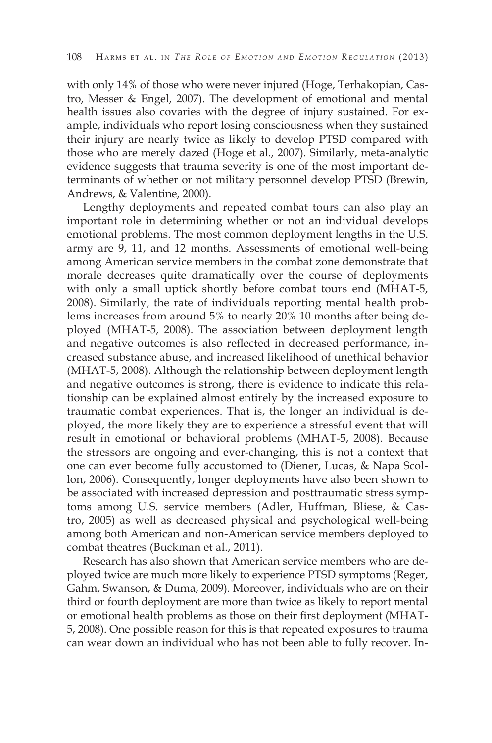with only 14% of those who were never injured (Hoge, Terhakopian, Castro, Messer & Engel, 2007). The development of emotional and mental health issues also covaries with the degree of injury sustained. For example, individuals who report losing consciousness when they sustained their injury are nearly twice as likely to develop PTSD compared with those who are merely dazed (Hoge et al., 2007). Similarly, meta-analytic evidence suggests that trauma severity is one of the most important determinants of whether or not military personnel develop PTSD (Brewin, Andrews, & Valentine, 2000).

Lengthy deployments and repeated combat tours can also play an important role in determining whether or not an individual develops emotional problems. The most common deployment lengths in the U.S. army are 9, 11, and 12 months. Assessments of emotional well-being among American service members in the combat zone demonstrate that morale decreases quite dramatically over the course of deployments with only a small uptick shortly before combat tours end (MHAT-5, 2008). Similarly, the rate of individuals reporting mental health problems increases from around 5% to nearly 20% 10 months after being deployed (MHAT-5, 2008). The association between deployment length and negative outcomes is also reflected in decreased performance, increased substance abuse, and increased likelihood of unethical behavior (MHAT-5, 2008). Although the relationship between deployment length and negative outcomes is strong, there is evidence to indicate this relationship can be explained almost entirely by the increased exposure to traumatic combat experiences. That is, the longer an individual is deployed, the more likely they are to experience a stressful event that will result in emotional or behavioral problems (MHAT-5, 2008). Because the stressors are ongoing and ever-changing, this is not a context that one can ever become fully accustomed to (Diener, Lucas, & Napa Scollon, 2006). Consequently, longer deployments have also been shown to be associated with increased depression and posttraumatic stress symptoms among U.S. service members (Adler, Huffman, Bliese, & Castro, 2005) as well as decreased physical and psychological well-being among both American and non-American service members deployed to combat theatres (Buckman et al., 2011).

Research has also shown that American service members who are deployed twice are much more likely to experience PTSD symptoms (Reger, Gahm, Swanson, & Duma, 2009). Moreover, individuals who are on their third or fourth deployment are more than twice as likely to report mental or emotional health problems as those on their first deployment (MHAT-5, 2008). One possible reason for this is that repeated exposures to trauma can wear down an individual who has not been able to fully recover. In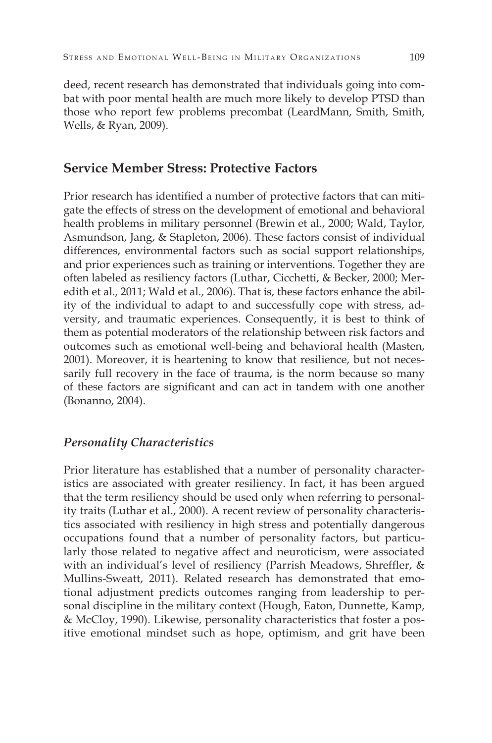deed, recent research has demonstrated that individuals going into combat with poor mental health are much more likely to develop PTSD than those who report few problems precombat (LeardMann, Smith, Smith, Wells, & Ryan, 2009).

# **Service Member Stress: Protective Factors**

Prior research has identified a number of protective factors that can mitigate the effects of stress on the development of emotional and behavioral health problems in military personnel (Brewin et al., 2000; Wald, Taylor, Asmundson, Jang, & Stapleton, 2006). These factors consist of individual differences, environmental factors such as social support relationships, and prior experiences such as training or interventions. Together they are often labeled as resiliency factors (Luthar, Cicchetti, & Becker, 2000; Meredith et al., 2011; Wald et al., 2006). That is, these factors enhance the ability of the individual to adapt to and successfully cope with stress, adversity, and traumatic experiences. Consequently, it is best to think of them as potential moderators of the relationship between risk factors and outcomes such as emotional well-being and behavioral health (Masten, 2001). Moreover, it is heartening to know that resilience, but not necessarily full recovery in the face of trauma, is the norm because so many of these factors are significant and can act in tandem with one another (Bonanno, 2004).

# *Personality Characteristics*

Prior literature has established that a number of personality characteristics are associated with greater resiliency. In fact, it has been argued that the term resiliency should be used only when referring to personality traits (Luthar et al., 2000). A recent review of personality characteristics associated with resiliency in high stress and potentially dangerous occupations found that a number of personality factors, but particularly those related to negative affect and neuroticism, were associated with an individual's level of resiliency (Parrish Meadows, Shreffler, & Mullins-Sweatt, 2011). Related research has demonstrated that emotional adjustment predicts outcomes ranging from leadership to personal discipline in the military context (Hough, Eaton, Dunnette, Kamp, & McCloy, 1990). Likewise, personality characteristics that foster a positive emotional mindset such as hope, optimism, and grit have been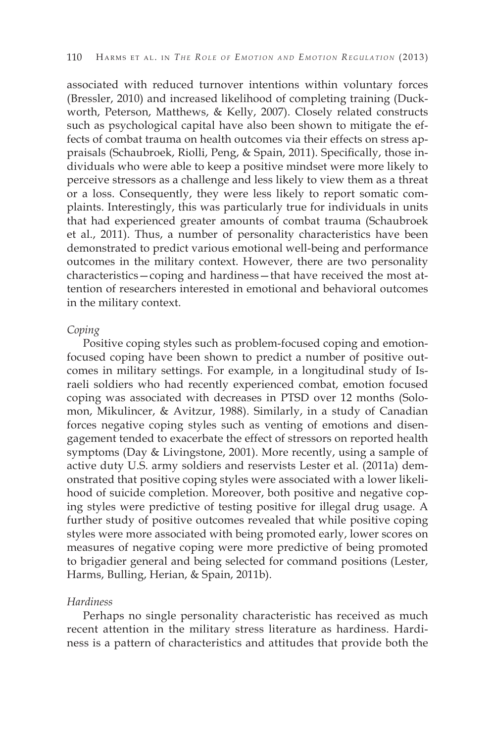associated with reduced turnover intentions within voluntary forces (Bressler, 2010) and increased likelihood of completing training (Duckworth, Peterson, Matthews, & Kelly, 2007). Closely related constructs such as psychological capital have also been shown to mitigate the effects of combat trauma on health outcomes via their effects on stress appraisals (Schaubroek, Riolli, Peng, & Spain, 2011). Specifically, those individuals who were able to keep a positive mindset were more likely to perceive stressors as a challenge and less likely to view them as a threat or a loss. Consequently, they were less likely to report somatic complaints. Interestingly, this was particularly true for individuals in units that had experienced greater amounts of combat trauma (Schaubroek et al., 2011). Thus, a number of personality characteristics have been demonstrated to predict various emotional well-being and performance outcomes in the military context. However, there are two personality characteristics—coping and hardiness—that have received the most attention of researchers interested in emotional and behavioral outcomes in the military context.

#### *Coping*

Positive coping styles such as problem-focused coping and emotionfocused coping have been shown to predict a number of positive outcomes in military settings. For example, in a longitudinal study of Israeli soldiers who had recently experienced combat, emotion focused coping was associated with decreases in PTSD over 12 months (Solomon, Mikulincer, & Avitzur, 1988). Similarly, in a study of Canadian forces negative coping styles such as venting of emotions and disengagement tended to exacerbate the effect of stressors on reported health symptoms (Day & Livingstone, 2001). More recently, using a sample of active duty U.S. army soldiers and reservists Lester et al. (2011a) demonstrated that positive coping styles were associated with a lower likelihood of suicide completion. Moreover, both positive and negative coping styles were predictive of testing positive for illegal drug usage. A further study of positive outcomes revealed that while positive coping styles were more associated with being promoted early, lower scores on measures of negative coping were more predictive of being promoted to brigadier general and being selected for command positions (Lester, Harms, Bulling, Herian, & Spain, 2011b).

#### *Hardiness*

Perhaps no single personality characteristic has received as much recent attention in the military stress literature as hardiness. Hardiness is a pattern of characteristics and attitudes that provide both the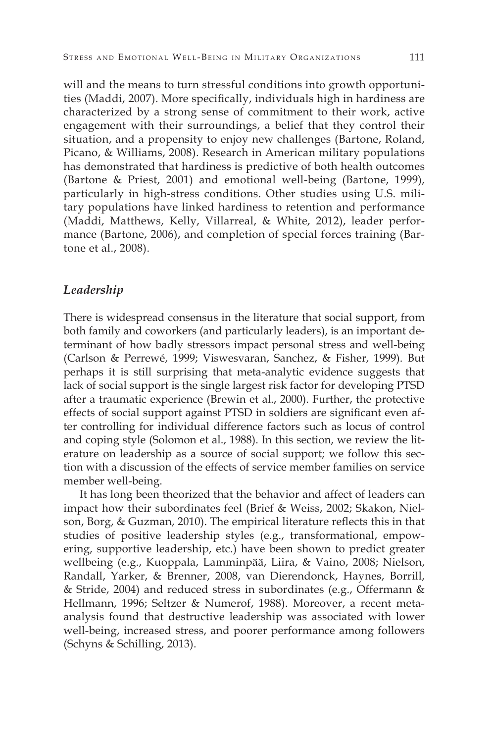will and the means to turn stressful conditions into growth opportunities (Maddi, 2007). More specifically, individuals high in hardiness are characterized by a strong sense of commitment to their work, active engagement with their surroundings, a belief that they control their situation, and a propensity to enjoy new challenges (Bartone, Roland, Picano, & Williams, 2008). Research in American military populations has demonstrated that hardiness is predictive of both health outcomes (Bartone & Priest, 2001) and emotional well-being (Bartone, 1999), particularly in high-stress conditions. Other studies using U.S. military populations have linked hardiness to retention and performance (Maddi, Matthews, Kelly, Villarreal, & White, 2012), leader performance (Bartone, 2006), and completion of special forces training (Bartone et al., 2008).

#### *Leadership*

There is widespread consensus in the literature that social support, from both family and coworkers (and particularly leaders), is an important determinant of how badly stressors impact personal stress and well-being (Carlson & Perrewé, 1999; Viswesvaran, Sanchez, & Fisher, 1999). But perhaps it is still surprising that meta-analytic evidence suggests that lack of social support is the single largest risk factor for developing PTSD after a traumatic experience (Brewin et al., 2000). Further, the protective effects of social support against PTSD in soldiers are significant even after controlling for individual difference factors such as locus of control and coping style (Solomon et al., 1988). In this section, we review the literature on leadership as a source of social support; we follow this section with a discussion of the effects of service member families on service member well-being.

It has long been theorized that the behavior and affect of leaders can impact how their subordinates feel (Brief & Weiss, 2002; Skakon, Nielson, Borg, & Guzman, 2010). The empirical literature reflects this in that studies of positive leadership styles (e.g., transformational, empowering, supportive leadership, etc.) have been shown to predict greater wellbeing (e.g., Kuoppala, Lamminpää, Liira, & Vaino, 2008; Nielson, Randall, Yarker, & Brenner, 2008, van Dierendonck, Haynes, Borrill, & Stride, 2004) and reduced stress in subordinates (e.g., Offermann & Hellmann, 1996; Seltzer & Numerof, 1988). Moreover, a recent metaanalysis found that destructive leadership was associated with lower well-being, increased stress, and poorer performance among followers (Schyns & Schilling, 2013).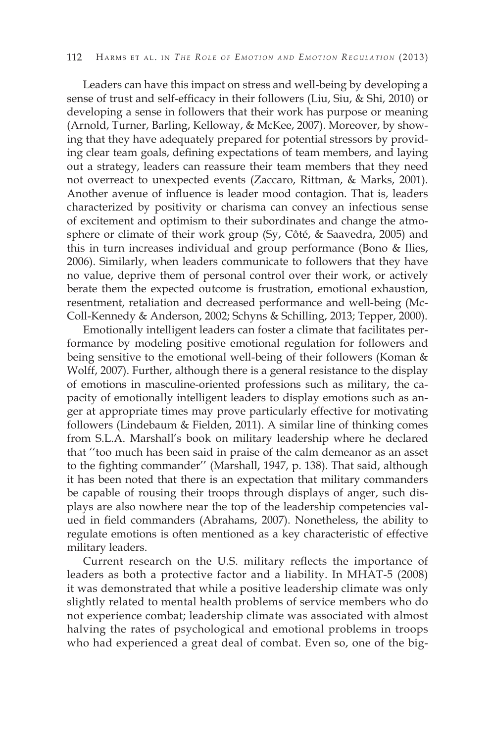Leaders can have this impact on stress and well-being by developing a sense of trust and self-efficacy in their followers (Liu, Siu, & Shi, 2010) or developing a sense in followers that their work has purpose or meaning (Arnold, Turner, Barling, Kelloway, & McKee, 2007). Moreover, by showing that they have adequately prepared for potential stressors by providing clear team goals, defining expectations of team members, and laying out a strategy, leaders can reassure their team members that they need not overreact to unexpected events (Zaccaro, Rittman, & Marks, 2001). Another avenue of influence is leader mood contagion. That is, leaders characterized by positivity or charisma can convey an infectious sense of excitement and optimism to their subordinates and change the atmosphere or climate of their work group (Sy, Côté, & Saavedra, 2005) and this in turn increases individual and group performance (Bono & Ilies, 2006). Similarly, when leaders communicate to followers that they have no value, deprive them of personal control over their work, or actively berate them the expected outcome is frustration, emotional exhaustion, resentment, retaliation and decreased performance and well-being (Mc-Coll-Kennedy & Anderson, 2002; Schyns & Schilling, 2013; Tepper, 2000).

Emotionally intelligent leaders can foster a climate that facilitates performance by modeling positive emotional regulation for followers and being sensitive to the emotional well-being of their followers (Koman & Wolff, 2007). Further, although there is a general resistance to the display of emotions in masculine-oriented professions such as military, the capacity of emotionally intelligent leaders to display emotions such as anger at appropriate times may prove particularly effective for motivating followers (Lindebaum & Fielden, 2011). A similar line of thinking comes from S.L.A. Marshall's book on military leadership where he declared that ''too much has been said in praise of the calm demeanor as an asset to the fighting commander'' (Marshall, 1947, p. 138). That said, although it has been noted that there is an expectation that military commanders be capable of rousing their troops through displays of anger, such displays are also nowhere near the top of the leadership competencies valued in field commanders (Abrahams, 2007). Nonetheless, the ability to regulate emotions is often mentioned as a key characteristic of effective military leaders.

Current research on the U.S. military reflects the importance of leaders as both a protective factor and a liability. In MHAT-5 (2008) it was demonstrated that while a positive leadership climate was only slightly related to mental health problems of service members who do not experience combat; leadership climate was associated with almost halving the rates of psychological and emotional problems in troops who had experienced a great deal of combat. Even so, one of the big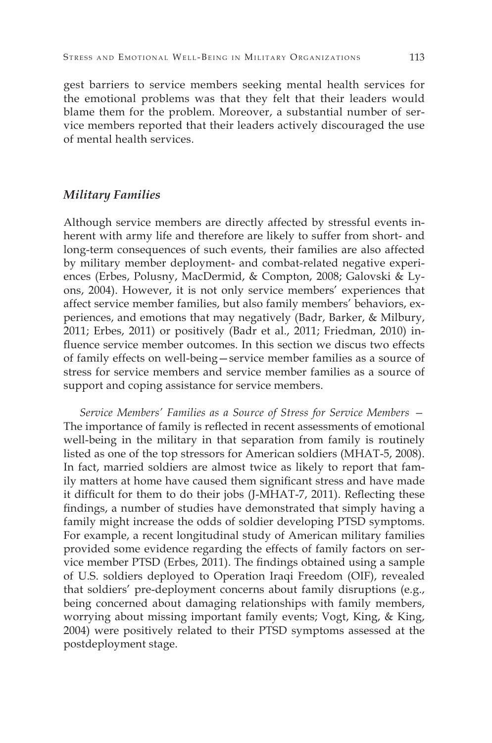gest barriers to service members seeking mental health services for the emotional problems was that they felt that their leaders would blame them for the problem. Moreover, a substantial number of service members reported that their leaders actively discouraged the use of mental health services.

### *Military Families*

Although service members are directly affected by stressful events inherent with army life and therefore are likely to suffer from short- and long-term consequences of such events, their families are also affected by military member deployment- and combat-related negative experiences (Erbes, Polusny, MacDermid, & Compton, 2008; Galovski & Lyons, 2004). However, it is not only service members' experiences that affect service member families, but also family members' behaviors, experiences, and emotions that may negatively (Badr, Barker, & Milbury, 2011; Erbes, 2011) or positively (Badr et al., 2011; Friedman, 2010) influence service member outcomes. In this section we discus two effects of family effects on well-being—service member families as a source of stress for service members and service member families as a source of support and coping assistance for service members.

*Service Members' Families as a Source of Stress for Service Members —*  The importance of family is reflected in recent assessments of emotional well-being in the military in that separation from family is routinely listed as one of the top stressors for American soldiers (MHAT-5, 2008). In fact, married soldiers are almost twice as likely to report that family matters at home have caused them significant stress and have made it difficult for them to do their jobs (J-MHAT-7, 2011). Reflecting these findings, a number of studies have demonstrated that simply having a family might increase the odds of soldier developing PTSD symptoms. For example, a recent longitudinal study of American military families provided some evidence regarding the effects of family factors on service member PTSD (Erbes, 2011). The findings obtained using a sample of U.S. soldiers deployed to Operation Iraqi Freedom (OIF), revealed that soldiers' pre-deployment concerns about family disruptions (e.g., being concerned about damaging relationships with family members, worrying about missing important family events; Vogt, King, & King, 2004) were positively related to their PTSD symptoms assessed at the postdeployment stage.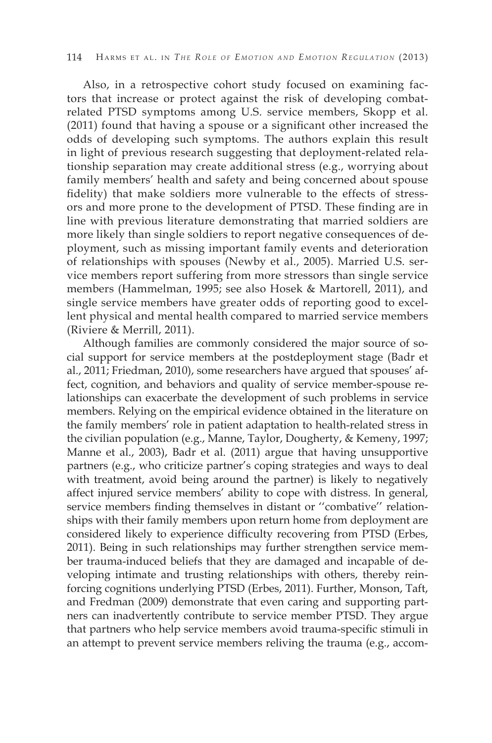Also, in a retrospective cohort study focused on examining factors that increase or protect against the risk of developing combatrelated PTSD symptoms among U.S. service members, Skopp et al. (2011) found that having a spouse or a significant other increased the odds of developing such symptoms. The authors explain this result in light of previous research suggesting that deployment-related relationship separation may create additional stress (e.g., worrying about family members' health and safety and being concerned about spouse fidelity) that make soldiers more vulnerable to the effects of stressors and more prone to the development of PTSD. These finding are in line with previous literature demonstrating that married soldiers are more likely than single soldiers to report negative consequences of deployment, such as missing important family events and deterioration of relationships with spouses (Newby et al., 2005). Married U.S. service members report suffering from more stressors than single service members (Hammelman, 1995; see also Hosek & Martorell, 2011), and single service members have greater odds of reporting good to excellent physical and mental health compared to married service members (Riviere & Merrill, 2011).

Although families are commonly considered the major source of social support for service members at the postdeployment stage (Badr et al., 2011; Friedman, 2010), some researchers have argued that spouses' affect, cognition, and behaviors and quality of service member-spouse relationships can exacerbate the development of such problems in service members. Relying on the empirical evidence obtained in the literature on the family members' role in patient adaptation to health-related stress in the civilian population (e.g., Manne, Taylor, Dougherty, & Kemeny, 1997; Manne et al., 2003), Badr et al. (2011) argue that having unsupportive partners (e.g., who criticize partner's coping strategies and ways to deal with treatment, avoid being around the partner) is likely to negatively affect injured service members' ability to cope with distress. In general, service members finding themselves in distant or ''combative'' relationships with their family members upon return home from deployment are considered likely to experience difficulty recovering from PTSD (Erbes, 2011). Being in such relationships may further strengthen service member trauma-induced beliefs that they are damaged and incapable of developing intimate and trusting relationships with others, thereby reinforcing cognitions underlying PTSD (Erbes, 2011). Further, Monson, Taft, and Fredman (2009) demonstrate that even caring and supporting partners can inadvertently contribute to service member PTSD. They argue that partners who help service members avoid trauma-specific stimuli in an attempt to prevent service members reliving the trauma (e.g., accom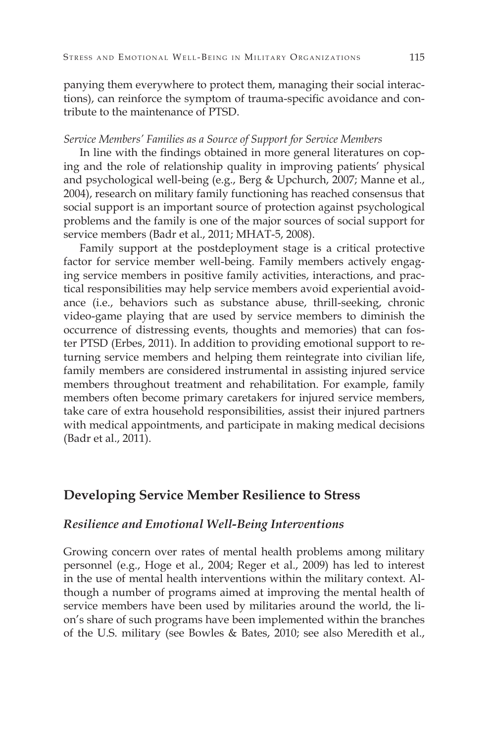panying them everywhere to protect them, managing their social interactions), can reinforce the symptom of trauma-specific avoidance and contribute to the maintenance of PTSD.

#### *Service Members' Families as a Source of Support for Service Members*

In line with the findings obtained in more general literatures on coping and the role of relationship quality in improving patients' physical and psychological well-being (e.g., Berg & Upchurch, 2007; Manne et al., 2004), research on military family functioning has reached consensus that social support is an important source of protection against psychological problems and the family is one of the major sources of social support for service members (Badr et al., 2011; MHAT-5, 2008).

Family support at the postdeployment stage is a critical protective factor for service member well-being. Family members actively engaging service members in positive family activities, interactions, and practical responsibilities may help service members avoid experiential avoidance (i.e., behaviors such as substance abuse, thrill-seeking, chronic video-game playing that are used by service members to diminish the occurrence of distressing events, thoughts and memories) that can foster PTSD (Erbes, 2011). In addition to providing emotional support to returning service members and helping them reintegrate into civilian life, family members are considered instrumental in assisting injured service members throughout treatment and rehabilitation. For example, family members often become primary caretakers for injured service members, take care of extra household responsibilities, assist their injured partners with medical appointments, and participate in making medical decisions (Badr et al., 2011).

# **Developing Service Member Resilience to Stress**

## *Resilience and Emotional Well-Being Interventions*

Growing concern over rates of mental health problems among military personnel (e.g., Hoge et al., 2004; Reger et al., 2009) has led to interest in the use of mental health interventions within the military context. Although a number of programs aimed at improving the mental health of service members have been used by militaries around the world, the lion's share of such programs have been implemented within the branches of the U.S. military (see Bowles & Bates, 2010; see also Meredith et al.,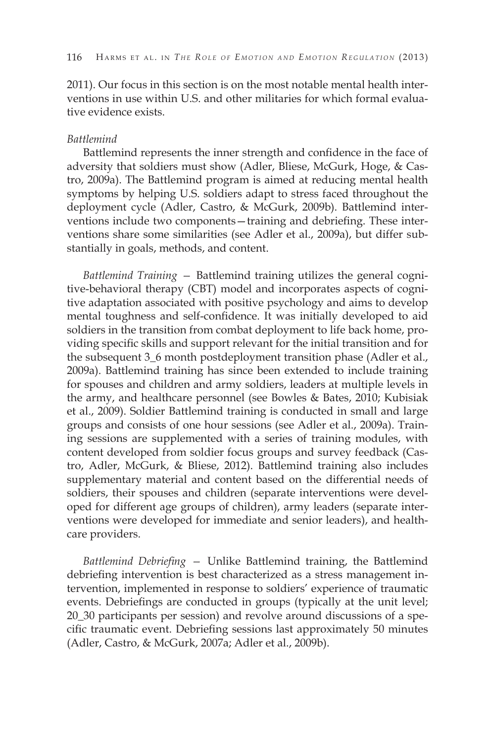2011). Our focus in this section is on the most notable mental health interventions in use within U.S. and other militaries for which formal evaluative evidence exists.

#### *Battlemind*

Battlemind represents the inner strength and confidence in the face of adversity that soldiers must show (Adler, Bliese, McGurk, Hoge, & Castro, 2009a). The Battlemind program is aimed at reducing mental health symptoms by helping U.S. soldiers adapt to stress faced throughout the deployment cycle (Adler, Castro, & McGurk, 2009b). Battlemind interventions include two components—training and debriefing. These interventions share some similarities (see Adler et al., 2009a), but differ substantially in goals, methods, and content.

*Battlemind Training —* Battlemind training utilizes the general cognitive-behavioral therapy (CBT) model and incorporates aspects of cognitive adaptation associated with positive psychology and aims to develop mental toughness and self-confidence. It was initially developed to aid soldiers in the transition from combat deployment to life back home, providing specific skills and support relevant for the initial transition and for the subsequent 3\_6 month postdeployment transition phase (Adler et al., 2009a). Battlemind training has since been extended to include training for spouses and children and army soldiers, leaders at multiple levels in the army, and healthcare personnel (see Bowles & Bates, 2010; Kubisiak et al., 2009). Soldier Battlemind training is conducted in small and large groups and consists of one hour sessions (see Adler et al., 2009a). Training sessions are supplemented with a series of training modules, with content developed from soldier focus groups and survey feedback (Castro, Adler, McGurk, & Bliese, 2012). Battlemind training also includes supplementary material and content based on the differential needs of soldiers, their spouses and children (separate interventions were developed for different age groups of children), army leaders (separate interventions were developed for immediate and senior leaders), and healthcare providers.

*Battlemind Debriefing —* Unlike Battlemind training, the Battlemind debriefing intervention is best characterized as a stress management intervention, implemented in response to soldiers' experience of traumatic events. Debriefings are conducted in groups (typically at the unit level; 20\_30 participants per session) and revolve around discussions of a specific traumatic event. Debriefing sessions last approximately 50 minutes (Adler, Castro, & McGurk, 2007a; Adler et al., 2009b).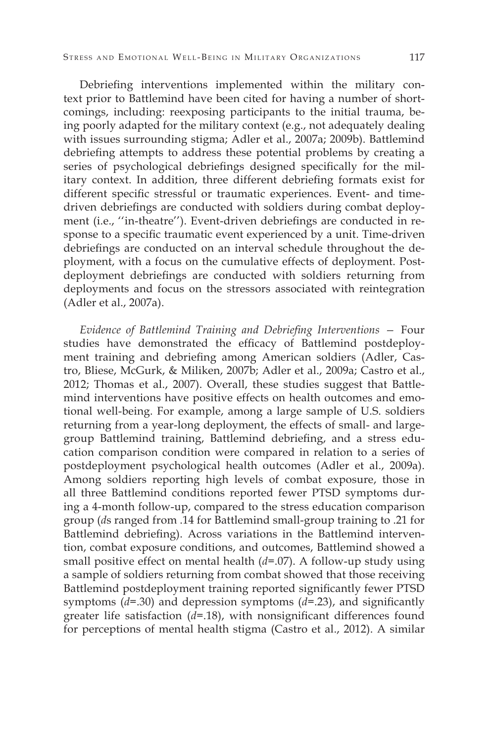Debriefing interventions implemented within the military context prior to Battlemind have been cited for having a number of shortcomings, including: reexposing participants to the initial trauma, being poorly adapted for the military context (e.g., not adequately dealing with issues surrounding stigma; Adler et al., 2007a; 2009b). Battlemind debriefing attempts to address these potential problems by creating a series of psychological debriefings designed specifically for the military context. In addition, three different debriefing formats exist for different specific stressful or traumatic experiences. Event- and timedriven debriefings are conducted with soldiers during combat deployment (i.e., ''in-theatre''). Event-driven debriefings are conducted in response to a specific traumatic event experienced by a unit. Time-driven debriefings are conducted on an interval schedule throughout the deployment, with a focus on the cumulative effects of deployment. Postdeployment debriefings are conducted with soldiers returning from deployments and focus on the stressors associated with reintegration (Adler et al., 2007a).

*Evidence of Battlemind Training and Debriefing Interventions —* Four studies have demonstrated the efficacy of Battlemind postdeployment training and debriefing among American soldiers (Adler, Castro, Bliese, McGurk, & Miliken, 2007b; Adler et al., 2009a; Castro et al., 2012; Thomas et al., 2007). Overall, these studies suggest that Battlemind interventions have positive effects on health outcomes and emotional well-being. For example, among a large sample of U.S. soldiers returning from a year-long deployment, the effects of small- and largegroup Battlemind training, Battlemind debriefing, and a stress education comparison condition were compared in relation to a series of postdeployment psychological health outcomes (Adler et al., 2009a). Among soldiers reporting high levels of combat exposure, those in all three Battlemind conditions reported fewer PTSD symptoms during a 4-month follow-up, compared to the stress education comparison group (*d*s ranged from .14 for Battlemind small-group training to .21 for Battlemind debriefing). Across variations in the Battlemind intervention, combat exposure conditions, and outcomes, Battlemind showed a small positive effect on mental health (*d*=.07). A follow-up study using a sample of soldiers returning from combat showed that those receiving Battlemind postdeployment training reported significantly fewer PTSD symptoms (*d*=.30) and depression symptoms (*d*=.23), and significantly greater life satisfaction (*d*=.18), with nonsignificant differences found for perceptions of mental health stigma (Castro et al., 2012). A similar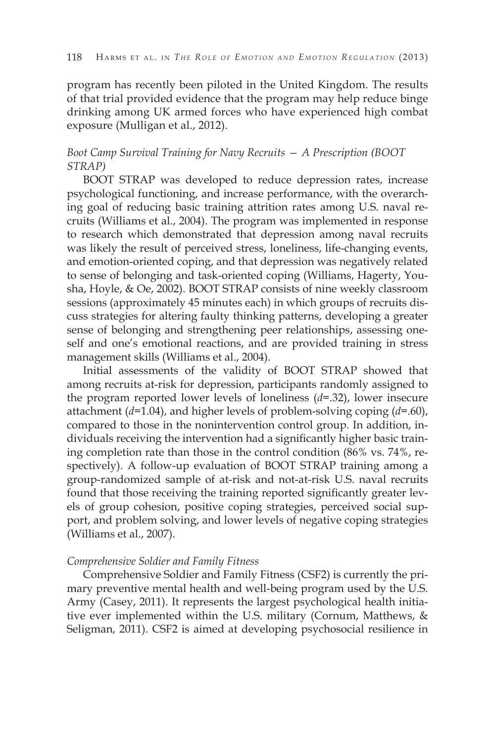program has recently been piloted in the United Kingdom. The results of that trial provided evidence that the program may help reduce binge drinking among UK armed forces who have experienced high combat exposure (Mulligan et al., 2012).

## *Boot Camp Survival Training for Navy Recruits — A Prescription (BOOT STRAP)*

BOOT STRAP was developed to reduce depression rates, increase psychological functioning, and increase performance, with the overarching goal of reducing basic training attrition rates among U.S. naval recruits (Williams et al., 2004). The program was implemented in response to research which demonstrated that depression among naval recruits was likely the result of perceived stress, loneliness, life-changing events, and emotion-oriented coping, and that depression was negatively related to sense of belonging and task-oriented coping (Williams, Hagerty, Yousha, Hoyle, & Oe, 2002). BOOT STRAP consists of nine weekly classroom sessions (approximately 45 minutes each) in which groups of recruits discuss strategies for altering faulty thinking patterns, developing a greater sense of belonging and strengthening peer relationships, assessing oneself and one's emotional reactions, and are provided training in stress management skills (Williams et al., 2004).

Initial assessments of the validity of BOOT STRAP showed that among recruits at-risk for depression, participants randomly assigned to the program reported lower levels of loneliness (*d*=.32), lower insecure attachment (*d*=1.04), and higher levels of problem-solving coping (*d*=.60), compared to those in the nonintervention control group. In addition, individuals receiving the intervention had a significantly higher basic training completion rate than those in the control condition (86% vs. 74%, respectively). A follow-up evaluation of BOOT STRAP training among a group-randomized sample of at-risk and not-at-risk U.S. naval recruits found that those receiving the training reported significantly greater levels of group cohesion, positive coping strategies, perceived social support, and problem solving, and lower levels of negative coping strategies (Williams et al., 2007).

#### *Comprehensive Soldier and Family Fitness*

Comprehensive Soldier and Family Fitness (CSF2) is currently the primary preventive mental health and well-being program used by the U.S. Army (Casey, 2011). It represents the largest psychological health initiative ever implemented within the U.S. military (Cornum, Matthews,  $\&$ Seligman, 2011). CSF2 is aimed at developing psychosocial resilience in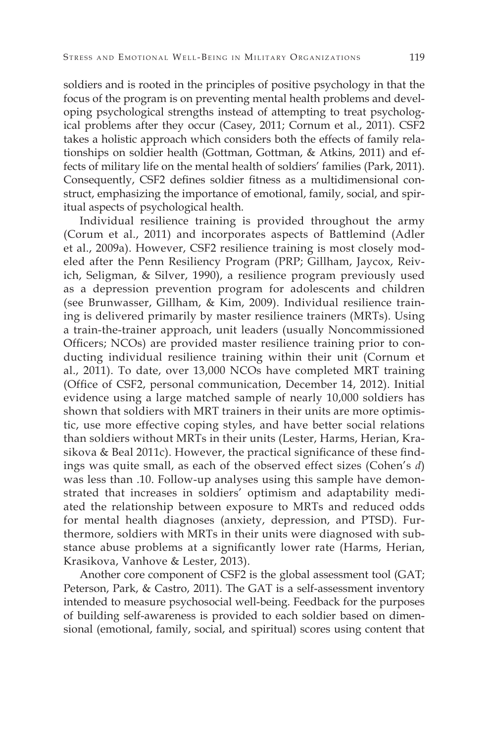soldiers and is rooted in the principles of positive psychology in that the focus of the program is on preventing mental health problems and developing psychological strengths instead of attempting to treat psychological problems after they occur (Casey, 2011; Cornum et al., 2011). CSF2 takes a holistic approach which considers both the effects of family relationships on soldier health (Gottman, Gottman, & Atkins, 2011) and effects of military life on the mental health of soldiers' families (Park, 2011). Consequently, CSF2 defines soldier fitness as a multidimensional construct, emphasizing the importance of emotional, family, social, and spiritual aspects of psychological health.

Individual resilience training is provided throughout the army (Corum et al., 2011) and incorporates aspects of Battlemind (Adler et al., 2009a). However, CSF2 resilience training is most closely modeled after the Penn Resiliency Program (PRP; Gillham, Jaycox, Reivich, Seligman, & Silver, 1990), a resilience program previously used as a depression prevention program for adolescents and children (see Brunwasser, Gillham, & Kim, 2009). Individual resilience training is delivered primarily by master resilience trainers (MRTs). Using a train-the-trainer approach, unit leaders (usually Noncommissioned Officers; NCOs) are provided master resilience training prior to conducting individual resilience training within their unit (Cornum et al., 2011). To date, over 13,000 NCOs have completed MRT training (Office of CSF2, personal communication, December 14, 2012). Initial evidence using a large matched sample of nearly 10,000 soldiers has shown that soldiers with MRT trainers in their units are more optimistic, use more effective coping styles, and have better social relations than soldiers without MRTs in their units (Lester, Harms, Herian, Krasikova & Beal 2011c). However, the practical significance of these findings was quite small, as each of the observed effect sizes (Cohen's *d*) was less than .10. Follow-up analyses using this sample have demonstrated that increases in soldiers' optimism and adaptability mediated the relationship between exposure to MRTs and reduced odds for mental health diagnoses (anxiety, depression, and PTSD). Furthermore, soldiers with MRTs in their units were diagnosed with substance abuse problems at a significantly lower rate (Harms, Herian, Krasikova, Vanhove & Lester, 2013).

Another core component of CSF2 is the global assessment tool (GAT; Peterson, Park, & Castro, 2011). The GAT is a self-assessment inventory intended to measure psychosocial well-being. Feedback for the purposes of building self-awareness is provided to each soldier based on dimensional (emotional, family, social, and spiritual) scores using content that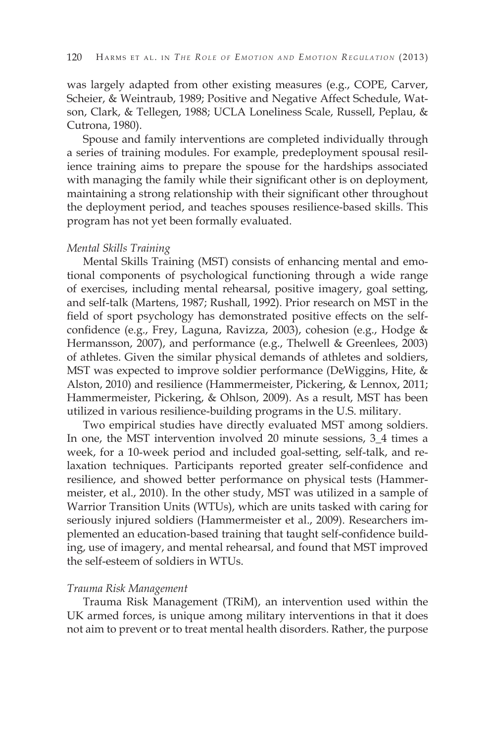was largely adapted from other existing measures (e.g., COPE, Carver, Scheier, & Weintraub, 1989; Positive and Negative Affect Schedule, Watson, Clark, & Tellegen, 1988; UCLA Loneliness Scale, Russell, Peplau, & Cutrona, 1980).

Spouse and family interventions are completed individually through a series of training modules. For example, predeployment spousal resilience training aims to prepare the spouse for the hardships associated with managing the family while their significant other is on deployment, maintaining a strong relationship with their significant other throughout the deployment period, and teaches spouses resilience-based skills. This program has not yet been formally evaluated.

#### *Mental Skills Training*

Mental Skills Training (MST) consists of enhancing mental and emotional components of psychological functioning through a wide range of exercises, including mental rehearsal, positive imagery, goal setting, and self-talk (Martens, 1987; Rushall, 1992). Prior research on MST in the field of sport psychology has demonstrated positive effects on the selfconfidence (e.g., Frey, Laguna, Ravizza, 2003), cohesion (e.g., Hodge & Hermansson, 2007), and performance (e.g., Thelwell & Greenlees, 2003) of athletes. Given the similar physical demands of athletes and soldiers, MST was expected to improve soldier performance (DeWiggins, Hite,  $\&$ Alston, 2010) and resilience (Hammermeister, Pickering, & Lennox, 2011; Hammermeister, Pickering, & Ohlson, 2009). As a result, MST has been utilized in various resilience-building programs in the U.S. military.

Two empirical studies have directly evaluated MST among soldiers. In one, the MST intervention involved 20 minute sessions, 3\_4 times a week, for a 10-week period and included goal-setting, self-talk, and relaxation techniques. Participants reported greater self-confidence and resilience, and showed better performance on physical tests (Hammermeister, et al., 2010). In the other study, MST was utilized in a sample of Warrior Transition Units (WTUs), which are units tasked with caring for seriously injured soldiers (Hammermeister et al., 2009). Researchers implemented an education-based training that taught self-confidence building, use of imagery, and mental rehearsal, and found that MST improved the self-esteem of soldiers in WTUs.

#### *Trauma Risk Management*

Trauma Risk Management (TRiM), an intervention used within the UK armed forces, is unique among military interventions in that it does not aim to prevent or to treat mental health disorders. Rather, the purpose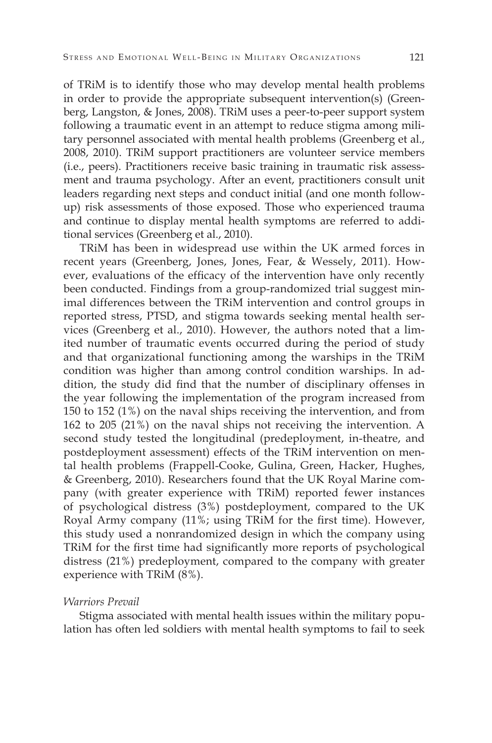of TRiM is to identify those who may develop mental health problems in order to provide the appropriate subsequent intervention(s) (Greenberg, Langston, & Jones, 2008). TRiM uses a peer-to-peer support system following a traumatic event in an attempt to reduce stigma among military personnel associated with mental health problems (Greenberg et al., 2008, 2010). TRiM support practitioners are volunteer service members (i.e., peers). Practitioners receive basic training in traumatic risk assessment and trauma psychology. After an event, practitioners consult unit leaders regarding next steps and conduct initial (and one month followup) risk assessments of those exposed. Those who experienced trauma and continue to display mental health symptoms are referred to additional services (Greenberg et al., 2010).

TRiM has been in widespread use within the UK armed forces in recent years (Greenberg, Jones, Jones, Fear, & Wessely, 2011). However, evaluations of the efficacy of the intervention have only recently been conducted. Findings from a group-randomized trial suggest minimal differences between the TRiM intervention and control groups in reported stress, PTSD, and stigma towards seeking mental health services (Greenberg et al., 2010). However, the authors noted that a limited number of traumatic events occurred during the period of study and that organizational functioning among the warships in the TRiM condition was higher than among control condition warships. In addition, the study did find that the number of disciplinary offenses in the year following the implementation of the program increased from 150 to 152 (1%) on the naval ships receiving the intervention, and from 162 to 205 (21%) on the naval ships not receiving the intervention. A second study tested the longitudinal (predeployment, in-theatre, and postdeployment assessment) effects of the TRiM intervention on mental health problems (Frappell-Cooke, Gulina, Green, Hacker, Hughes, & Greenberg, 2010). Researchers found that the UK Royal Marine company (with greater experience with TRiM) reported fewer instances of psychological distress (3%) postdeployment, compared to the UK Royal Army company (11%; using TRiM for the first time). However, this study used a nonrandomized design in which the company using TRiM for the first time had significantly more reports of psychological distress (21%) predeployment, compared to the company with greater experience with TRiM (8%).

#### *Warriors Prevail*

Stigma associated with mental health issues within the military population has often led soldiers with mental health symptoms to fail to seek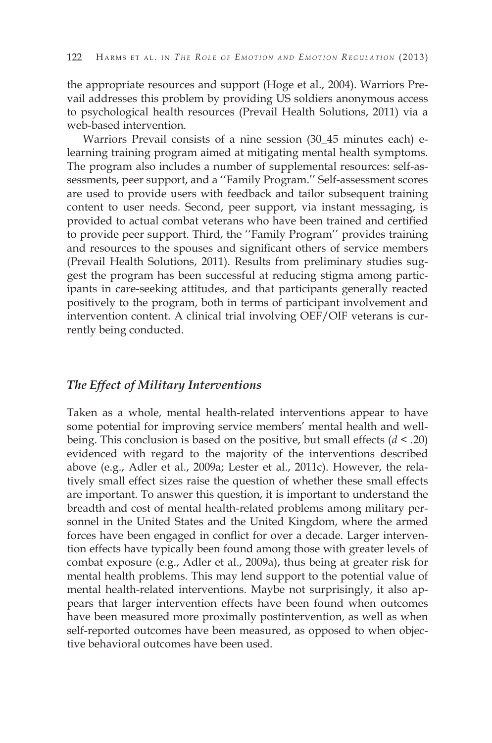the appropriate resources and support (Hoge et al., 2004). Warriors Prevail addresses this problem by providing US soldiers anonymous access to psychological health resources (Prevail Health Solutions, 2011) via a web-based intervention.

Warriors Prevail consists of a nine session (30\_45 minutes each) elearning training program aimed at mitigating mental health symptoms. The program also includes a number of supplemental resources: self-assessments, peer support, and a ''Family Program.'' Self-assessment scores are used to provide users with feedback and tailor subsequent training content to user needs. Second, peer support, via instant messaging, is provided to actual combat veterans who have been trained and certified to provide peer support. Third, the ''Family Program'' provides training and resources to the spouses and significant others of service members (Prevail Health Solutions, 2011). Results from preliminary studies suggest the program has been successful at reducing stigma among participants in care-seeking attitudes, and that participants generally reacted positively to the program, both in terms of participant involvement and intervention content. A clinical trial involving OEF/OIF veterans is currently being conducted.

#### *The Effect of Military Interventions*

Taken as a whole, mental health-related interventions appear to have some potential for improving service members' mental health and wellbeing. This conclusion is based on the positive, but small effects (*d* < .20) evidenced with regard to the majority of the interventions described above (e.g., Adler et al., 2009a; Lester et al., 2011c). However, the relatively small effect sizes raise the question of whether these small effects are important. To answer this question, it is important to understand the breadth and cost of mental health-related problems among military personnel in the United States and the United Kingdom, where the armed forces have been engaged in conflict for over a decade. Larger intervention effects have typically been found among those with greater levels of combat exposure (e.g., Adler et al., 2009a), thus being at greater risk for mental health problems. This may lend support to the potential value of mental health-related interventions. Maybe not surprisingly, it also appears that larger intervention effects have been found when outcomes have been measured more proximally postintervention, as well as when self-reported outcomes have been measured, as opposed to when objective behavioral outcomes have been used.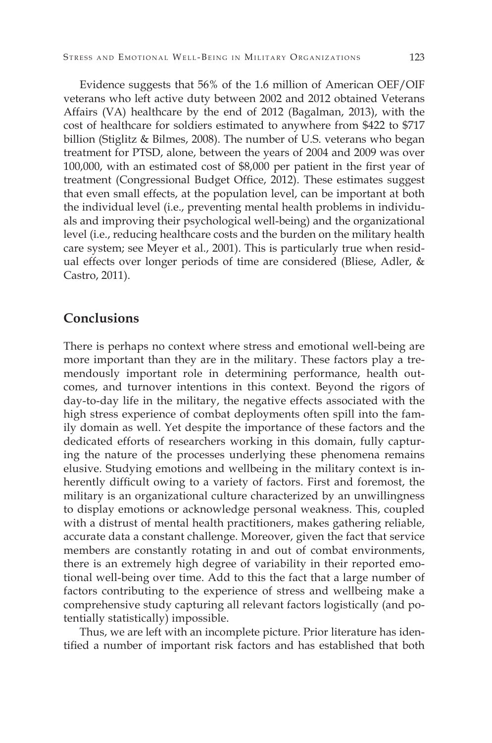Evidence suggests that 56% of the 1.6 million of American OEF/OIF veterans who left active duty between 2002 and 2012 obtained Veterans Affairs (VA) healthcare by the end of 2012 (Bagalman, 2013), with the cost of healthcare for soldiers estimated to anywhere from \$422 to \$717 billion (Stiglitz & Bilmes, 2008). The number of U.S. veterans who began treatment for PTSD, alone, between the years of 2004 and 2009 was over 100,000, with an estimated cost of \$8,000 per patient in the first year of treatment (Congressional Budget Office, 2012). These estimates suggest that even small effects, at the population level, can be important at both the individual level (i.e., preventing mental health problems in individuals and improving their psychological well-being) and the organizational level (i.e., reducing healthcare costs and the burden on the military health care system; see Meyer et al., 2001). This is particularly true when residual effects over longer periods of time are considered (Bliese, Adler,  $\&$ Castro, 2011).

# **Conclusions**

There is perhaps no context where stress and emotional well-being are more important than they are in the military. These factors play a tremendously important role in determining performance, health outcomes, and turnover intentions in this context. Beyond the rigors of day-to-day life in the military, the negative effects associated with the high stress experience of combat deployments often spill into the family domain as well. Yet despite the importance of these factors and the dedicated efforts of researchers working in this domain, fully capturing the nature of the processes underlying these phenomena remains elusive. Studying emotions and wellbeing in the military context is inherently difficult owing to a variety of factors. First and foremost, the military is an organizational culture characterized by an unwillingness to display emotions or acknowledge personal weakness. This, coupled with a distrust of mental health practitioners, makes gathering reliable, accurate data a constant challenge. Moreover, given the fact that service members are constantly rotating in and out of combat environments, there is an extremely high degree of variability in their reported emotional well-being over time. Add to this the fact that a large number of factors contributing to the experience of stress and wellbeing make a comprehensive study capturing all relevant factors logistically (and potentially statistically) impossible.

Thus, we are left with an incomplete picture. Prior literature has identified a number of important risk factors and has established that both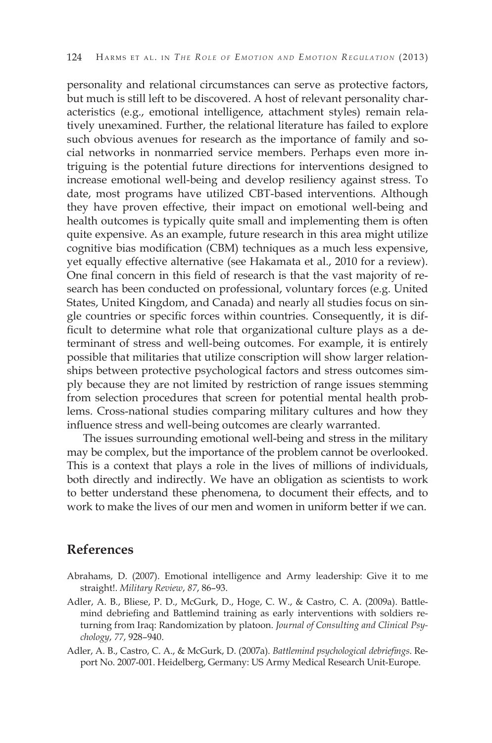personality and relational circumstances can serve as protective factors, but much is still left to be discovered. A host of relevant personality characteristics (e.g., emotional intelligence, attachment styles) remain relatively unexamined. Further, the relational literature has failed to explore such obvious avenues for research as the importance of family and social networks in nonmarried service members. Perhaps even more intriguing is the potential future directions for interventions designed to increase emotional well-being and develop resiliency against stress. To date, most programs have utilized CBT-based interventions. Although they have proven effective, their impact on emotional well-being and health outcomes is typically quite small and implementing them is often quite expensive. As an example, future research in this area might utilize cognitive bias modification (CBM) techniques as a much less expensive, yet equally effective alternative (see Hakamata et al., 2010 for a review). One final concern in this field of research is that the vast majority of research has been conducted on professional, voluntary forces (e.g. United States, United Kingdom, and Canada) and nearly all studies focus on single countries or specific forces within countries. Consequently, it is difficult to determine what role that organizational culture plays as a determinant of stress and well-being outcomes. For example, it is entirely possible that militaries that utilize conscription will show larger relationships between protective psychological factors and stress outcomes simply because they are not limited by restriction of range issues stemming from selection procedures that screen for potential mental health problems. Cross-national studies comparing military cultures and how they influence stress and well-being outcomes are clearly warranted.

The issues surrounding emotional well-being and stress in the military may be complex, but the importance of the problem cannot be overlooked. This is a context that plays a role in the lives of millions of individuals, both directly and indirectly. We have an obligation as scientists to work to better understand these phenomena, to document their effects, and to work to make the lives of our men and women in uniform better if we can.

## **References**

- Abrahams, D. (2007). Emotional intelligence and Army leadership: Give it to me straight!. *Military Review*, *87*, 86–93.
- Adler, A. B., Bliese, P. D., McGurk, D., Hoge, C. W., & Castro, C. A. (2009a). Battlemind debriefing and Battlemind training as early interventions with soldiers returning from Iraq: Randomization by platoon. *Journal of Consulting and Clinical Psychology*, *77*, 928–940.
- Adler, A. B., Castro, C. A., & McGurk, D. (2007a). *Battlemind psychological debriefings*. Report No. 2007-001. Heidelberg, Germany: US Army Medical Research Unit-Europe.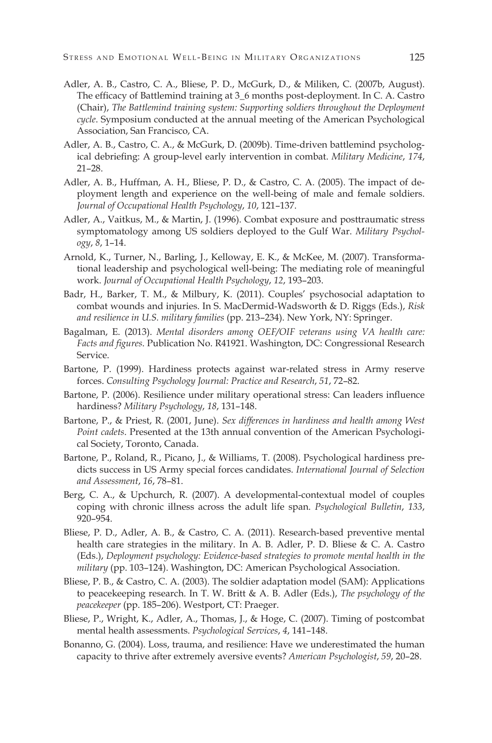- Adler, A. B., Castro, C. A., Bliese, P. D., McGurk, D., & Miliken, C. (2007b, August). The efficacy of Battlemind training at 3\_6 months post-deployment. In C. A. Castro (Chair), *The Battlemind training system: Supporting soldiers throughout the Deployment cycle*. Symposium conducted at the annual meeting of the American Psychological Association, San Francisco, CA.
- Adler, A. B., Castro, C. A., & McGurk, D. (2009b). Time-driven battlemind psychological debriefing: A group-level early intervention in combat. *Military Medicine*, *174*, 21–28.
- Adler, A. B., Huffman, A. H., Bliese, P. D., & Castro, C. A. (2005). The impact of deployment length and experience on the well-being of male and female soldiers. *Journal of Occupational Health Psychology*, *10*, 121–137.
- Adler, A., Vaitkus, M., & Martin, J. (1996). Combat exposure and posttraumatic stress symptomatology among US soldiers deployed to the Gulf War. *Military Psychology*, *8*, 1–14.
- Arnold, K., Turner, N., Barling, J., Kelloway, E. K., & McKee, M. (2007). Transformational leadership and psychological well-being: The mediating role of meaningful work. *Journal of Occupational Health Psychology*, *12*, 193–203.
- Badr, H., Barker, T. M., & Milbury, K. (2011). Couples' psychosocial adaptation to combat wounds and injuries. In S. MacDermid-Wadsworth & D. Riggs (Eds.), *Risk and resilience in U.S. military families* (pp. 213–234). New York, NY: Springer.
- Bagalman, E. (2013). *Mental disorders among OEF/OIF veterans using VA health care: Facts and figures*. Publication No. R41921. Washington, DC: Congressional Research Service.
- Bartone, P. (1999). Hardiness protects against war-related stress in Army reserve forces. *Consulting Psychology Journal: Practice and Research*, *51*, 72–82.
- Bartone, P. (2006). Resilience under military operational stress: Can leaders influence hardiness? *Military Psychology*, *18*, 131–148.
- Bartone, P., & Priest, R. (2001, June). *Sex differences in hardiness and health among West Point cadets*. Presented at the 13th annual convention of the American Psychological Society, Toronto, Canada.
- Bartone, P., Roland, R., Picano, J., & Williams, T. (2008). Psychological hardiness predicts success in US Army special forces candidates. *International Journal of Selection and Assessment*, *16*, 78–81.
- Berg, C. A., & Upchurch, R. (2007). A developmental-contextual model of couples coping with chronic illness across the adult life span. *Psychological Bulletin*, *133*, 920–954.
- Bliese, P. D., Adler, A. B., & Castro, C. A. (2011). Research-based preventive mental health care strategies in the military. In A. B. Adler, P. D. Bliese & C. A. Castro (Eds.), *Deployment psychology: Evidence-based strategies to promote mental health in the military* (pp. 103–124). Washington, DC: American Psychological Association.
- Bliese, P. B., & Castro, C. A. (2003). The soldier adaptation model (SAM): Applications to peacekeeping research. In T. W. Britt & A. B. Adler (Eds.), *The psychology of the peacekeeper* (pp. 185–206). Westport, CT: Praeger.
- Bliese, P., Wright, K., Adler, A., Thomas, J., & Hoge, C. (2007). Timing of postcombat mental health assessments. *Psychological Services*, *4*, 141–148.
- Bonanno, G. (2004). Loss, trauma, and resilience: Have we underestimated the human capacity to thrive after extremely aversive events? *American Psychologist*, *59*, 20–28.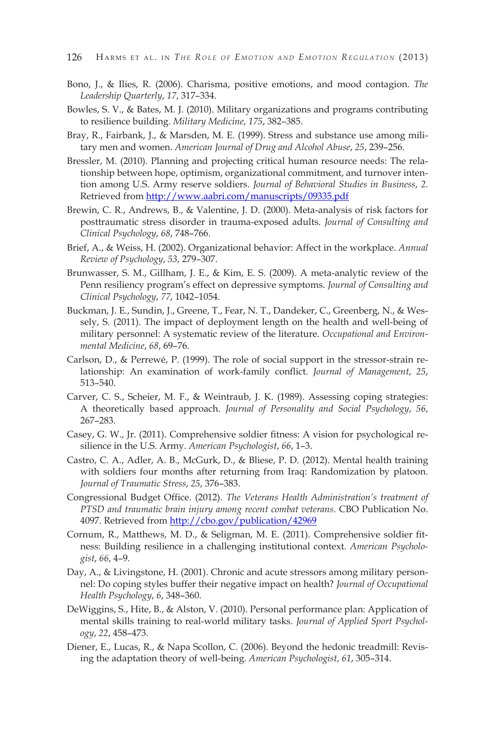- Bono, J., & Ilies, R. (2006). Charisma, positive emotions, and mood contagion. *The Leadership Quarterly*, *17*, 317–334.
- Bowles, S. V., & Bates, M. J. (2010). Military organizations and programs contributing to resilience building. *Military Medicine*, *175*, 382–385.
- Bray, R., Fairbank, J., & Marsden, M. E. (1999). Stress and substance use among military men and women. *American Journal of Drug and Alcohol Abuse*, *25*, 239–256.
- Bressler, M. (2010). Planning and projecting critical human resource needs: The relationship between hope, optimism, organizational commitment, and turnover intention among U.S. Army reserve soldiers. *Journal of Behavioral Studies in Business*, *2*. Retrieved from http://www.aabri.com/manuscripts/09335.pdf
- Brewin, C. R., Andrews, B., & Valentine, J. D. (2000). Meta-analysis of risk factors for posttraumatic stress disorder in trauma-exposed adults. *Journal of Consulting and Clinical Psychology*, *68*, 748–766.
- Brief, A., & Weiss, H. (2002). Organizational behavior: Affect in the workplace. *Annual Review of Psychology*, *53*, 279–307.
- Brunwasser, S. M., Gillham, J. E., & Kim, E. S. (2009). A meta-analytic review of the Penn resiliency program's effect on depressive symptoms. *Journal of Consulting and Clinical Psychology*, *77*, 1042–1054.
- Buckman, J. E., Sundin, J., Greene, T., Fear, N. T., Dandeker, C., Greenberg, N., & Wessely, S. (2011). The impact of deployment length on the health and well-being of military personnel: A systematic review of the literature. *Occupational and Environmental Medicine*, *68*, 69–76.
- Carlson, D., & Perrewé, P. (1999). The role of social support in the stressor-strain relationship: An examination of work-family conflict. *Journal of Management*, *25*, 513–540.
- Carver, C. S., Scheier, M. F., & Weintraub, J. K. (1989). Assessing coping strategies: A theoretically based approach. *Journal of Personality and Social Psychology*, *56*, 267–283.
- Casey, G. W., Jr. (2011). Comprehensive soldier fitness: A vision for psychological resilience in the U.S. Army. *American Psychologist*, *66*, 1–3.
- Castro, C. A., Adler, A. B., McGurk, D., & Bliese, P. D. (2012). Mental health training with soldiers four months after returning from Iraq: Randomization by platoon. *Journal of Traumatic Stress*, *25*, 376–383.
- Congressional Budget Office. (2012). *The Veterans Health Administration's treatment of PTSD and traumatic brain injury among recent combat veterans*. CBO Publication No. 4097. Retrieved from http://cbo.gov/publication/42969
- Cornum, R., Matthews, M. D., & Seligman, M. E. (2011). Comprehensive soldier fitness: Building resilience in a challenging institutional context. *American Psychologist*, *66*, 4–9.
- Day, A., & Livingstone, H. (2001). Chronic and acute stressors among military personnel: Do coping styles buffer their negative impact on health? *Journal of Occupational Health Psychology*, *6*, 348–360.
- DeWiggins, S., Hite, B., & Alston, V. (2010). Personal performance plan: Application of mental skills training to real-world military tasks. *Journal of Applied Sport Psychology*, *22*, 458–473.
- Diener, E., Lucas, R., & Napa Scollon, C. (2006). Beyond the hedonic treadmill: Revising the adaptation theory of well-being. *American Psychologist*, *61*, 305–314.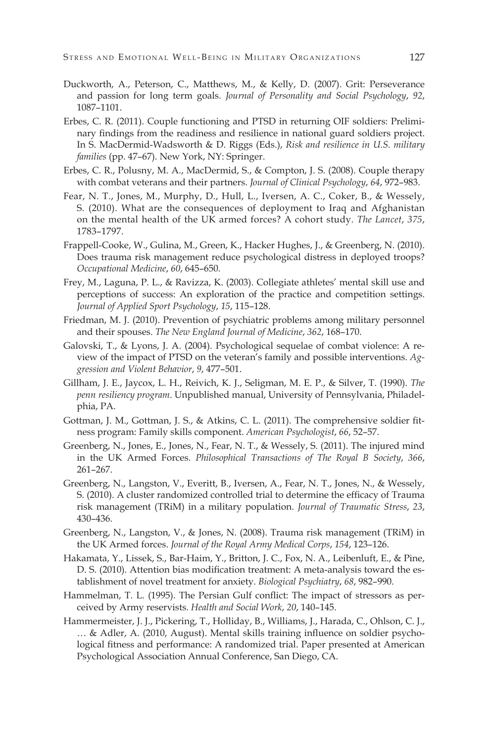- Duckworth, A., Peterson, C., Matthews, M., & Kelly, D. (2007). Grit: Perseverance and passion for long term goals. *Journal of Personality and Social Psychology*, *92*, 1087–1101.
- Erbes, C. R. (2011). Couple functioning and PTSD in returning OIF soldiers: Preliminary findings from the readiness and resilience in national guard soldiers project. In S. MacDermid-Wadsworth & D. Riggs (Eds.), *Risk and resilience in U.S. military families* (pp. 47–67). New York, NY: Springer.
- Erbes, C. R., Polusny, M. A., MacDermid, S., & Compton, J. S. (2008). Couple therapy with combat veterans and their partners. *Journal of Clinical Psychology*, *64*, 972–983.
- Fear, N. T., Jones, M., Murphy, D., Hull, L., Iversen, A. C., Coker, B., & Wessely, S. (2010). What are the consequences of deployment to Iraq and Afghanistan on the mental health of the UK armed forces? A cohort study. *The Lancet*, *375*, 1783–1797.
- Frappell-Cooke, W., Gulina, M., Green, K., Hacker Hughes, J., & Greenberg, N. (2010). Does trauma risk management reduce psychological distress in deployed troops? *Occupational Medicine*, *60*, 645–650.
- Frey, M., Laguna, P. L., & Ravizza, K. (2003). Collegiate athletes' mental skill use and perceptions of success: An exploration of the practice and competition settings. *Journal of Applied Sport Psychology*, *15*, 115–128.
- Friedman, M. J. (2010). Prevention of psychiatric problems among military personnel and their spouses. *The New England Journal of Medicine*, *362*, 168–170.
- Galovski, T., & Lyons, J. A. (2004). Psychological sequelae of combat violence: A review of the impact of PTSD on the veteran's family and possible interventions. *Aggression and Violent Behavior*, *9*, 477–501.
- Gillham, J. E., Jaycox, L. H., Reivich, K. J., Seligman, M. E. P., & Silver, T. (1990). *The penn resiliency program*. Unpublished manual, University of Pennsylvania, Philadelphia, PA.
- Gottman, J. M., Gottman, J. S., & Atkins, C. L. (2011). The comprehensive soldier fitness program: Family skills component. *American Psychologist*, *66*, 52–57.
- Greenberg, N., Jones, E., Jones, N., Fear, N. T., & Wessely, S. (2011). The injured mind in the UK Armed Forces. *Philosophical Transactions of The Royal B Society*, *366*, 261–267.
- Greenberg, N., Langston, V., Everitt, B., Iversen, A., Fear, N. T., Jones, N., & Wessely, S. (2010). A cluster randomized controlled trial to determine the efficacy of Trauma risk management (TRiM) in a military population. *Journal of Traumatic Stress*, *23*, 430–436.
- Greenberg, N., Langston, V., & Jones, N. (2008). Trauma risk management (TRiM) in the UK Armed forces. *Journal of the Royal Army Medical Corps*, *154*, 123–126.
- Hakamata, Y., Lissek, S., Bar-Haim, Y., Britton, J. C., Fox, N. A., Leibenluft, E., & Pine, D. S. (2010). Attention bias modification treatment: A meta-analysis toward the establishment of novel treatment for anxiety. *Biological Psychiatry*, *68*, 982–990.
- Hammelman, T. L. (1995). The Persian Gulf conflict: The impact of stressors as perceived by Army reservists. *Health and Social Work*, *20*, 140–145.
- Hammermeister, J. J., Pickering, T., Holliday, B., Williams, J., Harada, C., Ohlson, C. J., … & Adler, A. (2010, August). Mental skills training influence on soldier psychological fitness and performance: A randomized trial. Paper presented at American Psychological Association Annual Conference, San Diego, CA.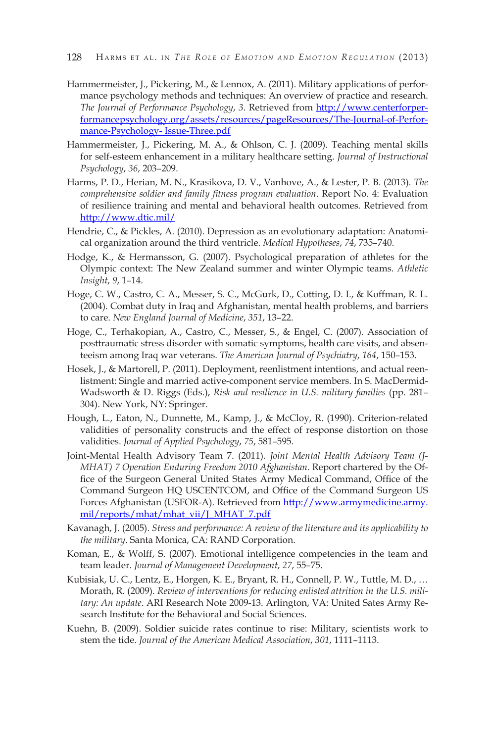- Hammermeister, J., Pickering, M., & Lennox, A. (2011). Military applications of performance psychology methods and techniques: An overview of practice and research. *The Journal of Performance Psychology*, *3*. Retrieved from http://www.centerforperformancepsychology.org/assets/resources/pageResources/The-Journal-of-Performance-Psychology- Issue-Three.pdf
- Hammermeister, J., Pickering, M. A., & Ohlson, C. J. (2009). Teaching mental skills for self-esteem enhancement in a military healthcare setting. *Journal of Instructional Psychology*, *36*, 203–209.
- Harms, P. D., Herian, M. N., Krasikova, D. V., Vanhove, A., & Lester, P. B. (2013). *The comprehensive soldier and family fitness program evaluation*. Report No. 4: Evaluation of resilience training and mental and behavioral health outcomes. Retrieved from http://www.dtic.mil/
- Hendrie, C., & Pickles, A. (2010). Depression as an evolutionary adaptation: Anatomical organization around the third ventricle. *Medical Hypotheses*, *74*, 735–740.
- Hodge, K., & Hermansson, G. (2007). Psychological preparation of athletes for the Olympic context: The New Zealand summer and winter Olympic teams. *Athletic Insight*, *9*, 1–14.
- Hoge, C. W., Castro, C. A., Messer, S. C., McGurk, D., Cotting, D. I., & Koffman, R. L. (2004). Combat duty in Iraq and Afghanistan, mental health problems, and barriers to care. *New England Journal of Medicine*, *351*, 13–22.
- Hoge, C., Terhakopian, A., Castro, C., Messer, S., & Engel, C. (2007). Association of posttraumatic stress disorder with somatic symptoms, health care visits, and absenteeism among Iraq war veterans. *The American Journal of Psychiatry*, *164*, 150–153.
- Hosek, J., & Martorell, P. (2011). Deployment, reenlistment intentions, and actual reenlistment: Single and married active-component service members. In S. MacDermid-Wadsworth & D. Riggs (Eds.), *Risk and resilience in U.S. military families* (pp. 281– 304). New York, NY: Springer.
- Hough, L., Eaton, N., Dunnette, M., Kamp, J., & McCloy, R. (1990). Criterion-related validities of personality constructs and the effect of response distortion on those validities. *Journal of Applied Psychology*, *75*, 581–595.
- Joint-Mental Health Advisory Team 7. (2011). *Joint Mental Health Advisory Team (J-MHAT) 7 Operation Enduring Freedom 2010 Afghanistan*. Report chartered by the Office of the Surgeon General United States Army Medical Command, Office of the Command Surgeon HQ USCENTCOM, and Office of the Command Surgeon US Forces Afghanistan (USFOR-A). Retrieved from http://www.armymedicine.army. mil/reports/mhat/mhat\_vii/J\_MHAT\_7.pdf
- Kavanagh, J. (2005). *Stress and performance: A review of the literature and its applicability to the military*. Santa Monica, CA: RAND Corporation.
- Koman, E., & Wolff, S. (2007). Emotional intelligence competencies in the team and team leader. *Journal of Management Development*, *27*, 55–75.
- Kubisiak, U. C., Lentz, E., Horgen, K. E., Bryant, R. H., Connell, P. W., Tuttle, M. D., … Morath, R. (2009). *Review of interventions for reducing enlisted attrition in the U.S. military: An update*. ARI Research Note 2009-13. Arlington, VA: United Sates Army Research Institute for the Behavioral and Social Sciences.
- Kuehn, B. (2009). Soldier suicide rates continue to rise: Military, scientists work to stem the tide. *Journal of the American Medical Association*, *301*, 1111–1113.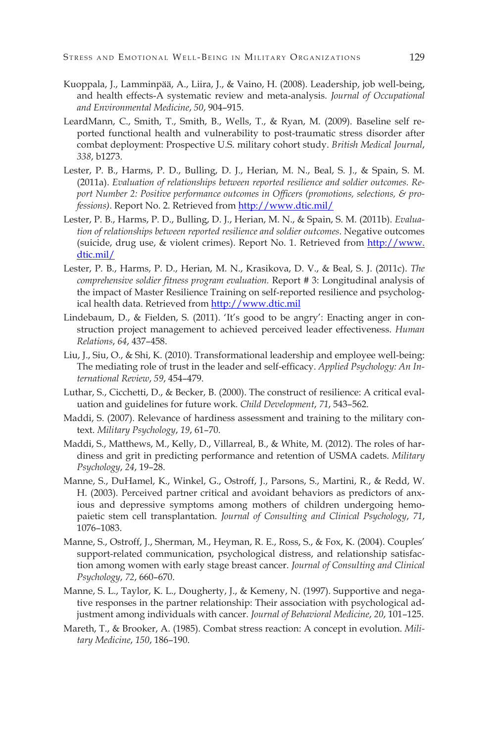- Kuoppala, J., Lamminpää, A., Liira, J., & Vaino, H. (2008). Leadership, job well-being, and health effects-A systematic review and meta-analysis. *Journal of Occupational and Environmental Medicine*, *50*, 904–915.
- LeardMann, C., Smith, T., Smith, B., Wells, T., & Ryan, M. (2009). Baseline self reported functional health and vulnerability to post-traumatic stress disorder after combat deployment: Prospective U.S. military cohort study. *British Medical Journal*, *338*, b1273.
- Lester, P. B., Harms, P. D., Bulling, D. J., Herian, M. N., Beal, S. J., & Spain, S. M. (2011a). *Evaluation of relationships between reported resilience and soldier outcomes. Report Number 2: Positive performance outcomes in Officers (promotions, selections, & professions*). Report No. 2. Retrieved from http://www.dtic.mil/
- Lester, P. B., Harms, P. D., Bulling, D. J., Herian, M. N., & Spain, S. M. (2011b). *Evaluation of relationships between reported resilience and soldier outcomes*. Negative outcomes (suicide, drug use, & violent crimes). Report No. 1. Retrieved from http://www. dtic.mil/
- Lester, P. B., Harms, P. D., Herian, M. N., Krasikova, D. V., & Beal, S. J. (2011c). *The comprehensive soldier fitness program evaluation.* Report # 3: Longitudinal analysis of the impact of Master Resilience Training on self-reported resilience and psychological health data. Retrieved from http://www.dtic.mil
- Lindebaum, D., & Fielden, S. (2011). 'It's good to be angry': Enacting anger in construction project management to achieved perceived leader effectiveness. *Human Relations*, *64*, 437–458.
- Liu, J., Siu, O., & Shi, K. (2010). Transformational leadership and employee well-being: The mediating role of trust in the leader and self-efficacy. *Applied Psychology: An International Review*, *59*, 454–479.
- Luthar, S., Cicchetti, D., & Becker, B. (2000). The construct of resilience: A critical evaluation and guidelines for future work. *Child Development*, *71*, 543–562.
- Maddi, S. (2007). Relevance of hardiness assessment and training to the military context. *Military Psychology*, *19*, 61–70.
- Maddi, S., Matthews, M., Kelly, D., Villarreal, B., & White, M. (2012). The roles of hardiness and grit in predicting performance and retention of USMA cadets. *Military Psychology*, *24*, 19–28.
- Manne, S., DuHamel, K., Winkel, G., Ostroff, J., Parsons, S., Martini, R., & Redd, W. H. (2003). Perceived partner critical and avoidant behaviors as predictors of anxious and depressive symptoms among mothers of children undergoing hemopaietic stem cell transplantation. *Journal of Consulting and Clinical Psychology*, *71*, 1076–1083.
- Manne, S., Ostroff, J., Sherman, M., Heyman, R. E., Ross, S., & Fox, K. (2004). Couples' support-related communication, psychological distress, and relationship satisfaction among women with early stage breast cancer. *Journal of Consulting and Clinical Psychology*, *72*, 660–670.
- Manne, S. L., Taylor, K. L., Dougherty, J., & Kemeny, N. (1997). Supportive and negative responses in the partner relationship: Their association with psychological adjustment among individuals with cancer. *Journal of Behavioral Medicine*, *20*, 101–125.
- Mareth, T., & Brooker, A. (1985). Combat stress reaction: A concept in evolution. *Military Medicine*, *150*, 186–190.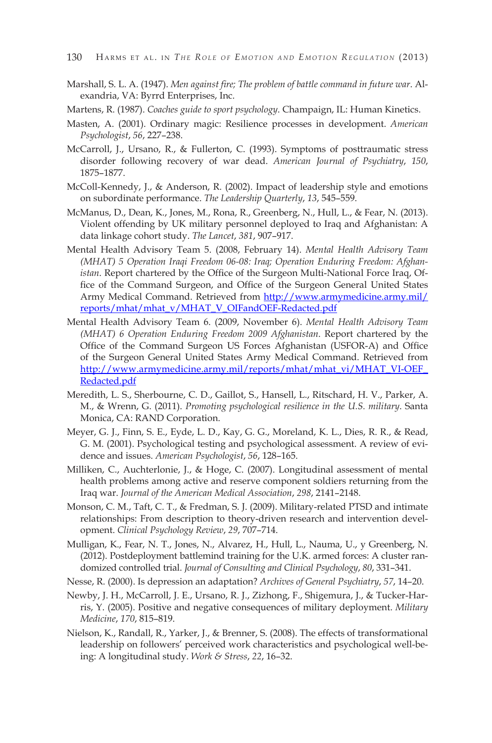- Marshall, S. L. A. (1947). *Men against fire; The problem of battle command in future war*. Alexandria, VA: Byrrd Enterprises, Inc.
- Martens, R. (1987). *Coaches guide to sport psychology*. Champaign, IL: Human Kinetics.
- Masten, A. (2001). Ordinary magic: Resilience processes in development. *American Psychologist*, *56*, 227–238.
- McCarroll, J., Ursano, R., & Fullerton, C. (1993). Symptoms of posttraumatic stress disorder following recovery of war dead. *American Journal of Psychiatry*, *150*, 1875–1877.
- McColl-Kennedy, J., & Anderson, R. (2002). Impact of leadership style and emotions on subordinate performance. *The Leadership Quarterly*, *13*, 545–559.
- McManus, D., Dean, K., Jones, M., Rona, R., Greenberg, N., Hull, L., & Fear, N. (2013). Violent offending by UK military personnel deployed to Iraq and Afghanistan: A data linkage cohort study. *The Lancet*, *381*, 907–917.
- Mental Health Advisory Team 5. (2008, February 14). *Mental Health Advisory Team (MHAT) 5 Operation Iraqi Freedom 06-08: Iraq; Operation Enduring Freedom: Afghanistan*. Report chartered by the Office of the Surgeon Multi-National Force Iraq, Office of the Command Surgeon, and Office of the Surgeon General United States Army Medical Command. Retrieved from http://www.armymedicine.army.mil/ reports/mhat/mhat\_v/MHAT\_V\_OIFandOEF-Redacted.pdf
- Mental Health Advisory Team 6. (2009, November 6). *Mental Health Advisory Team (MHAT) 6 Operation Enduring Freedom 2009 Afghanistan*. Report chartered by the Office of the Command Surgeon US Forces Afghanistan (USFOR-A) and Office of the Surgeon General United States Army Medical Command. Retrieved from http://www.armymedicine.army.mil/reports/mhat/mhat\_vi/MHAT\_VI-OEF\_ Redacted.pdf
- Meredith, L. S., Sherbourne, C. D., Gaillot, S., Hansell, L., Ritschard, H. V., Parker, A. M., & Wrenn, G. (2011). *Promoting psychological resilience in the U.S. military*. Santa Monica, CA: RAND Corporation.
- Meyer, G. J., Finn, S. E., Eyde, L. D., Kay, G. G., Moreland, K. L., Dies, R. R., & Read, G. M. (2001). Psychological testing and psychological assessment. A review of evidence and issues. *American Psychologist*, *56*, 128–165.
- Milliken, C., Auchterlonie, J., & Hoge, C. (2007). Longitudinal assessment of mental health problems among active and reserve component soldiers returning from the Iraq war. *Journal of the American Medical Association*, *298*, 2141–2148.
- Monson, C. M., Taft, C. T., & Fredman, S. J. (2009). Military-related PTSD and intimate relationships: From description to theory-driven research and intervention development. *Clinical Psychology Review*, *29*, 707–714.
- Mulligan, K., Fear, N. T., Jones, N., Alvarez, H., Hull, L., Nauma, U., y Greenberg, N. (2012). Postdeployment battlemind training for the U.K. armed forces: A cluster randomized controlled trial. *Journal of Consulting and Clinical Psychology*, *80*, 331–341.
- Nesse, R. (2000). Is depression an adaptation? *Archives of General Psychiatry*, *57*, 14–20.
- Newby, J. H., McCarroll, J. E., Ursano, R. J., Zizhong, F., Shigemura, J., & Tucker-Harris, Y. (2005). Positive and negative consequences of military deployment. *Military Medicine*, *170*, 815–819.
- Nielson, K., Randall, R., Yarker, J., & Brenner, S. (2008). The effects of transformational leadership on followers' perceived work characteristics and psychological well-being: A longitudinal study. *Work & Stress*, *22*, 16–32.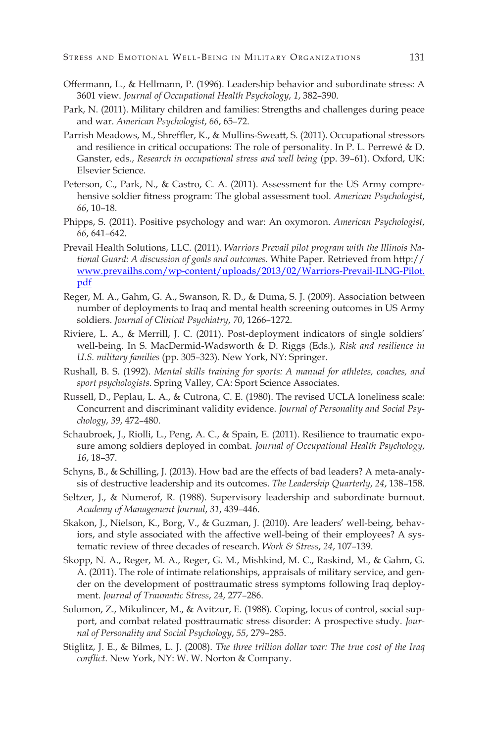- Offermann, L., & Hellmann, P. (1996). Leadership behavior and subordinate stress: A 3601 view. *Journal of Occupational Health Psychology*, *1*, 382–390.
- Park, N. (2011). Military children and families: Strengths and challenges during peace and war. *American Psychologist*, *66*, 65–72.
- Parrish Meadows, M., Shreffler, K., & Mullins-Sweatt, S. (2011). Occupational stressors and resilience in critical occupations: The role of personality. In P. L. Perrewé & D. Ganster, eds., *Research in occupational stress and well being* (pp. 39–61). Oxford, UK: Elsevier Science.
- Peterson, C., Park, N., & Castro, C. A. (2011). Assessment for the US Army comprehensive soldier fitness program: The global assessment tool. *American Psychologist*, *66*, 10–18.
- Phipps, S. (2011). Positive psychology and war: An oxymoron. *American Psychologist*, *66*, 641–642.
- Prevail Health Solutions, LLC. (2011). *Warriors Prevail pilot program with the Illinois National Guard: A discussion of goals and outcomes*. White Paper. Retrieved from http:// www.prevailhs.com/wp-content/uploads/2013/02/Warriors-Prevail-ILNG-Pilot. pdf
- Reger, M. A., Gahm, G. A., Swanson, R. D., & Duma, S. J. (2009). Association between number of deployments to Iraq and mental health screening outcomes in US Army soldiers. *Journal of Clinical Psychiatry*, *70*, 1266–1272.
- Riviere, L. A., & Merrill, J. C. (2011). Post-deployment indicators of single soldiers' well-being. In S. MacDermid-Wadsworth & D. Riggs (Eds.), *Risk and resilience in U.S. military families* (pp. 305–323). New York, NY: Springer.
- Rushall, B. S. (1992). *Mental skills training for sports: A manual for athletes, coaches, and sport psychologists*. Spring Valley, CA: Sport Science Associates.
- Russell, D., Peplau, L. A., & Cutrona, C. E. (1980). The revised UCLA loneliness scale: Concurrent and discriminant validity evidence. *Journal of Personality and Social Psychology*, *39*, 472–480.
- Schaubroek, J., Riolli, L., Peng, A. C., & Spain, E. (2011). Resilience to traumatic exposure among soldiers deployed in combat. *Journal of Occupational Health Psychology*, *16*, 18–37.
- Schyns, B., & Schilling, J. (2013). How bad are the effects of bad leaders? A meta-analysis of destructive leadership and its outcomes. *The Leadership Quarterly*, *24*, 138–158.
- Seltzer, J., & Numerof, R. (1988). Supervisory leadership and subordinate burnout. *Academy of Management Journal*, *31*, 439–446.
- Skakon, J., Nielson, K., Borg, V., & Guzman, J. (2010). Are leaders' well-being, behaviors, and style associated with the affective well-being of their employees? A systematic review of three decades of research. *Work & Stress*, *24*, 107–139.
- Skopp, N. A., Reger, M. A., Reger, G. M., Mishkind, M. C., Raskind, M., & Gahm, G. A. (2011). The role of intimate relationships, appraisals of military service, and gender on the development of posttraumatic stress symptoms following Iraq deployment. *Journal of Traumatic Stress*, *24*, 277–286.
- Solomon, Z., Mikulincer, M., & Avitzur, E. (1988). Coping, locus of control, social support, and combat related posttraumatic stress disorder: A prospective study. *Journal of Personality and Social Psychology*, *55*, 279–285.
- Stiglitz, J. E., & Bilmes, L. J. (2008). *The three trillion dollar war: The true cost of the Iraq conflict*. New York, NY: W. W. Norton & Company.